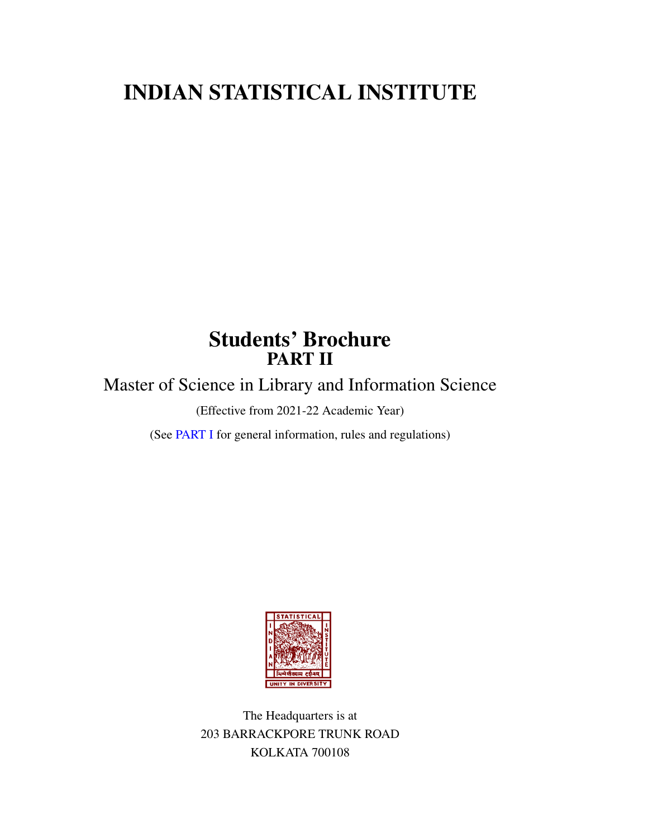# INDIAN STATISTICAL INSTITUTE

# Students' Brochure PART II

Master of Science in Library and Information Science

(Effective from 2021-22 Academic Year)

(See [PART I](https://www.isical.ac.in/~deanweb/GNRLRULES-REGULATIONS-2019.pdf) for general information, rules and regulations)



The Headquarters is at 203 BARRACKPORE TRUNK ROAD KOLKATA 700108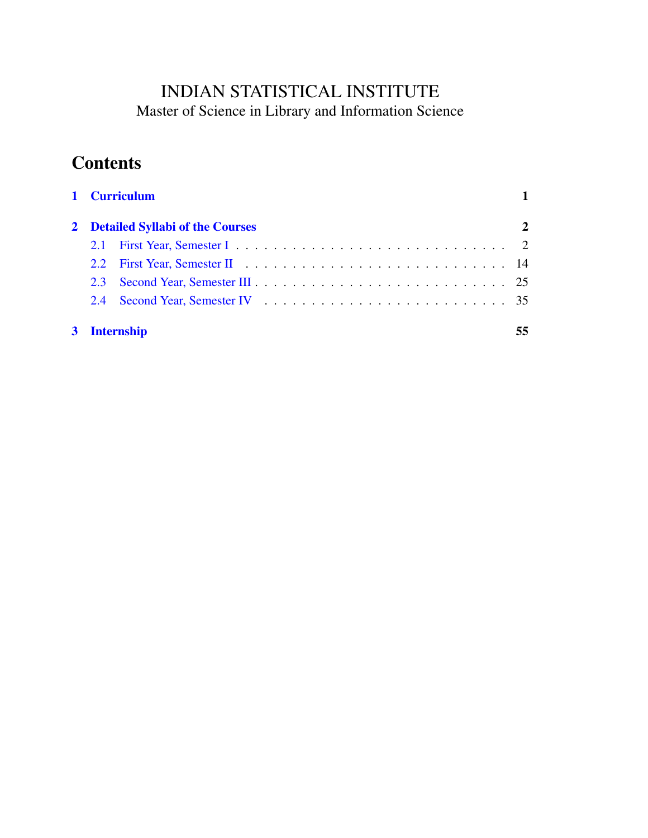# INDIAN STATISTICAL INSTITUTE Master of Science in Library and Information Science

# **Contents**

|  | 1 Curriculum<br>2 Detailed Syllabi of the Courses |              |    |
|--|---------------------------------------------------|--------------|----|
|  |                                                   |              |    |
|  |                                                   |              |    |
|  |                                                   |              |    |
|  | $2.3 -$                                           |              |    |
|  | 2.4                                               |              |    |
|  |                                                   | 3 Internship | 55 |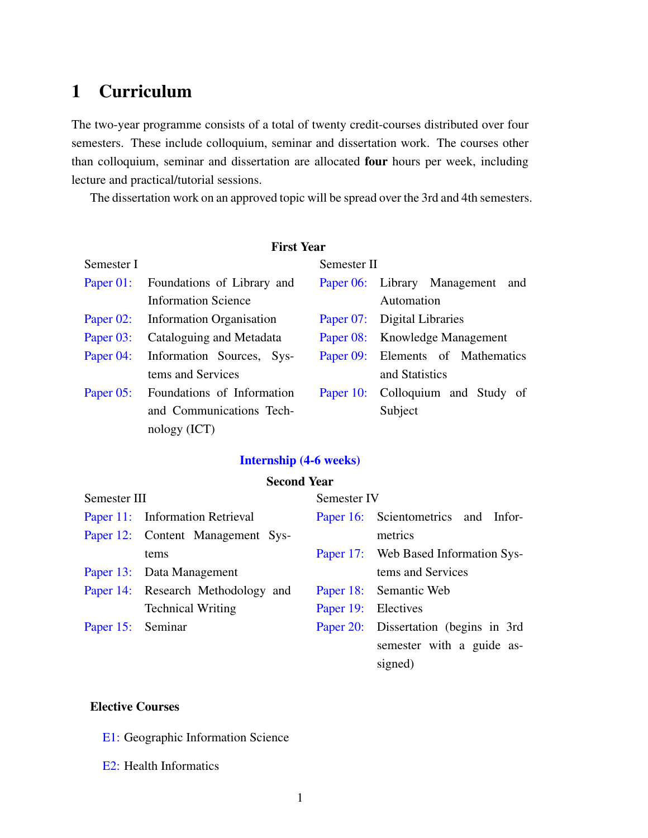# <span id="page-4-0"></span>1 Curriculum

The two-year programme consists of a total of twenty credit-courses distributed over four semesters. These include colloquium, seminar and dissertation work. The courses other than colloquium, seminar and dissertation are allocated four hours per week, including lecture and practical/tutorial sessions.

The dissertation work on an approved topic will be spread over the 3rd and 4th semesters.

| <b>First Year</b> |                                      |             |                                   |  |  |  |  |
|-------------------|--------------------------------------|-------------|-----------------------------------|--|--|--|--|
| Semester I        |                                      | Semester II |                                   |  |  |  |  |
|                   | Paper 01: Foundations of Library and |             | Paper 06: Library Management and  |  |  |  |  |
|                   | <b>Information Science</b>           |             | Automation                        |  |  |  |  |
| Paper 02:         | Information Organisation             |             | Paper 07: Digital Libraries       |  |  |  |  |
| Paper 03:         | Cataloguing and Metadata             |             | Paper 08: Knowledge Management    |  |  |  |  |
| Paper 04:         | Information Sources, Sys-            |             | Paper 09: Elements of Mathematics |  |  |  |  |
|                   | tems and Services                    |             | and Statistics                    |  |  |  |  |
| Paper 05:         | Foundations of Information           |             | Paper 10: Colloquium and Study of |  |  |  |  |
|                   | and Communications Tech-             |             | Subject                           |  |  |  |  |
|                   | nology (ICT)                         |             |                                   |  |  |  |  |

# [Internship \(4-6 weeks\)](#page-58-0)

## Second Year

| Semester III      |                                    | Semester IV         |                                        |  |
|-------------------|------------------------------------|---------------------|----------------------------------------|--|
|                   | Paper 11: Information Retrieval    |                     | Paper 16: Scientometrics and Infor-    |  |
|                   | Paper 12: Content Management Sys-  |                     | metrics                                |  |
|                   | tems                               |                     | Paper 17: Web Based Information Sys-   |  |
|                   | Paper 13: Data Management          |                     | tems and Services                      |  |
|                   | Paper 14: Research Methodology and |                     | Paper 18: Semantic Web                 |  |
|                   | <b>Technical Writing</b>           | Paper 19: Electives |                                        |  |
| Paper 15: Seminar |                                    |                     | Paper 20: Dissertation (begins in 3rd) |  |
|                   |                                    |                     | semester with a guide as-              |  |
|                   |                                    |                     | signed)                                |  |

# Elective Courses

- [E1:](#page-46-1) Geographic Information Science
- [E2:](#page-49-0) Health Informatics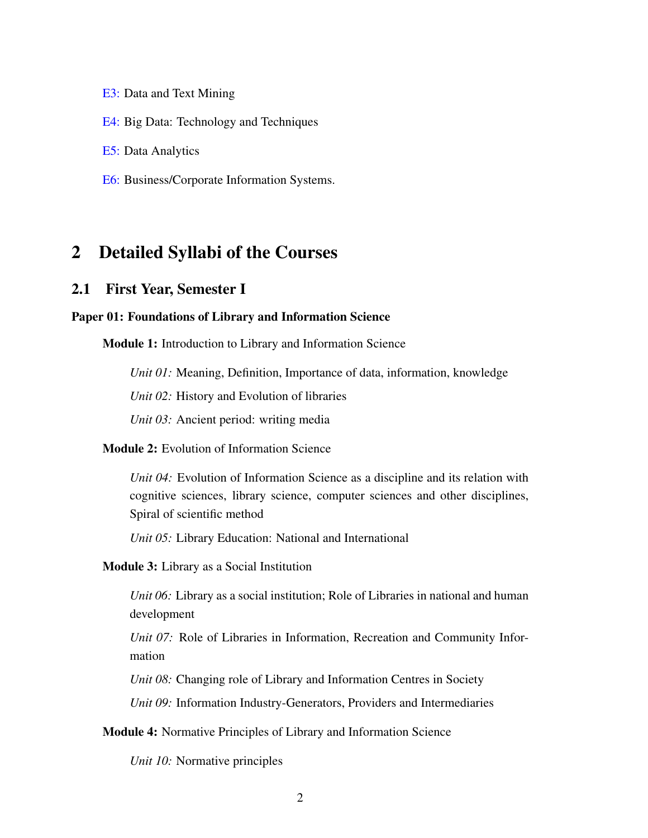[E3:](#page-51-0) Data and Text Mining

[E4:](#page-52-0) Big Data: Technology and Techniques

[E5:](#page-54-0) Data Analytics

[E6:](#page-56-0) Business/Corporate Information Systems.

# <span id="page-5-0"></span>2 Detailed Syllabi of the Courses

# <span id="page-5-1"></span>2.1 First Year, Semester I

#### <span id="page-5-2"></span>Paper 01: Foundations of Library and Information Science

Module 1: Introduction to Library and Information Science

*Unit 01:* Meaning, Definition, Importance of data, information, knowledge

*Unit 02:* History and Evolution of libraries

*Unit 03:* Ancient period: writing media

# Module 2: Evolution of Information Science

*Unit 04:* Evolution of Information Science as a discipline and its relation with cognitive sciences, library science, computer sciences and other disciplines, Spiral of scientific method

*Unit 05:* Library Education: National and International

## Module 3: Library as a Social Institution

*Unit 06:* Library as a social institution; Role of Libraries in national and human development

*Unit 07:* Role of Libraries in Information, Recreation and Community Information

*Unit 08:* Changing role of Library and Information Centres in Society

*Unit 09:* Information Industry-Generators, Providers and Intermediaries

## Module 4: Normative Principles of Library and Information Science

*Unit 10:* Normative principles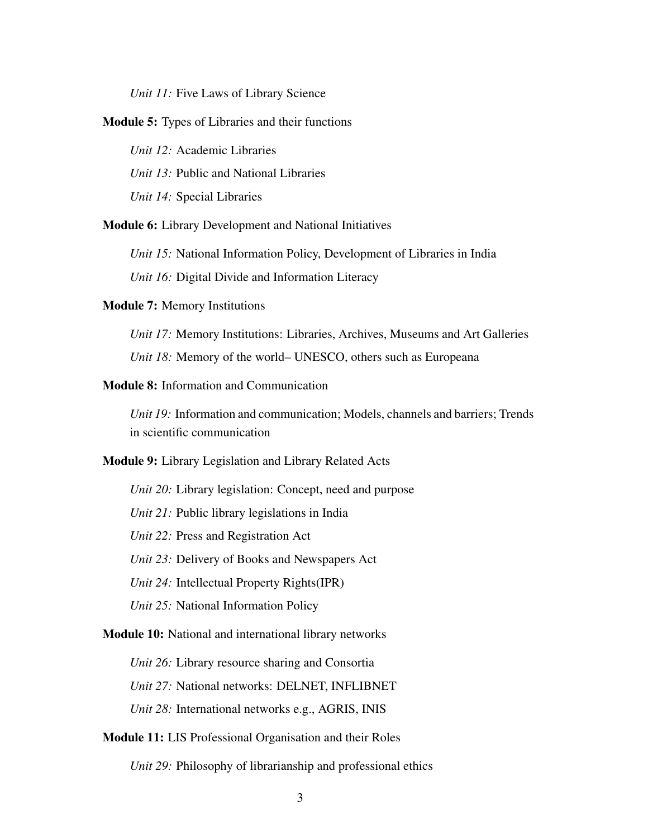*Unit 11:* Five Laws of Library Science

Module 5: Types of Libraries and their functions

*Unit 12:* Academic Libraries *Unit 13:* Public and National Libraries *Unit 14:* Special Libraries

Module 6: Library Development and National Initiatives

*Unit 15:* National Information Policy, Development of Libraries in India

*Unit 16:* Digital Divide and Information Literacy

Module 7: Memory Institutions

*Unit 17:* Memory Institutions: Libraries, Archives, Museums and Art Galleries *Unit 18:* Memory of the world– UNESCO, others such as Europeana

## Module 8: Information and Communication

*Unit 19:* Information and communication; Models, channels and barriers; Trends in scientific communication

Module 9: Library Legislation and Library Related Acts

*Unit 20:* Library legislation: Concept, need and purpose

*Unit 21:* Public library legislations in India

*Unit 22:* Press and Registration Act

*Unit 23:* Delivery of Books and Newspapers Act

*Unit 24:* Intellectual Property Rights(IPR)

*Unit 25:* National Information Policy

Module 10: National and international library networks

*Unit 26:* Library resource sharing and Consortia

*Unit 27:* National networks: DELNET, INFLIBNET

*Unit 28:* International networks e.g., AGRIS, INIS

Module 11: LIS Professional Organisation and their Roles

*Unit 29:* Philosophy of librarianship and professional ethics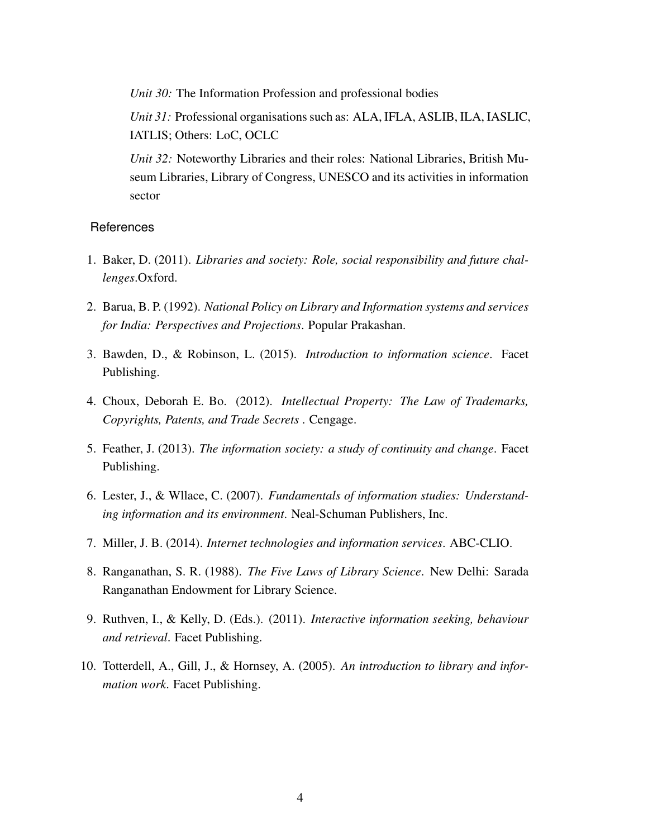*Unit 30:* The Information Profession and professional bodies

*Unit 31:* Professional organisations such as: ALA, IFLA, ASLIB, ILA, IASLIC, IATLIS; Others: LoC, OCLC

*Unit 32:* Noteworthy Libraries and their roles: National Libraries, British Museum Libraries, Library of Congress, UNESCO and its activities in information sector

- 1. Baker, D. (2011). *Libraries and society: Role, social responsibility and future challenges*.Oxford.
- 2. Barua, B. P. (1992). *National Policy on Library and Information systems and services for India: Perspectives and Projections*. Popular Prakashan.
- 3. Bawden, D., & Robinson, L. (2015). *Introduction to information science*. Facet Publishing.
- 4. Choux, Deborah E. Bo. (2012). *Intellectual Property: The Law of Trademarks, Copyrights, Patents, and Trade Secrets* . Cengage.
- 5. Feather, J. (2013). *The information society: a study of continuity and change*. Facet Publishing.
- 6. Lester, J., & Wllace, C. (2007). *Fundamentals of information studies: Understanding information and its environment*. Neal-Schuman Publishers, Inc.
- 7. Miller, J. B. (2014). *Internet technologies and information services*. ABC-CLIO.
- 8. Ranganathan, S. R. (1988). *The Five Laws of Library Science*. New Delhi: Sarada Ranganathan Endowment for Library Science.
- 9. Ruthven, I., & Kelly, D. (Eds.). (2011). *Interactive information seeking, behaviour and retrieval*. Facet Publishing.
- 10. Totterdell, A., Gill, J., & Hornsey, A. (2005). *An introduction to library and information work*. Facet Publishing.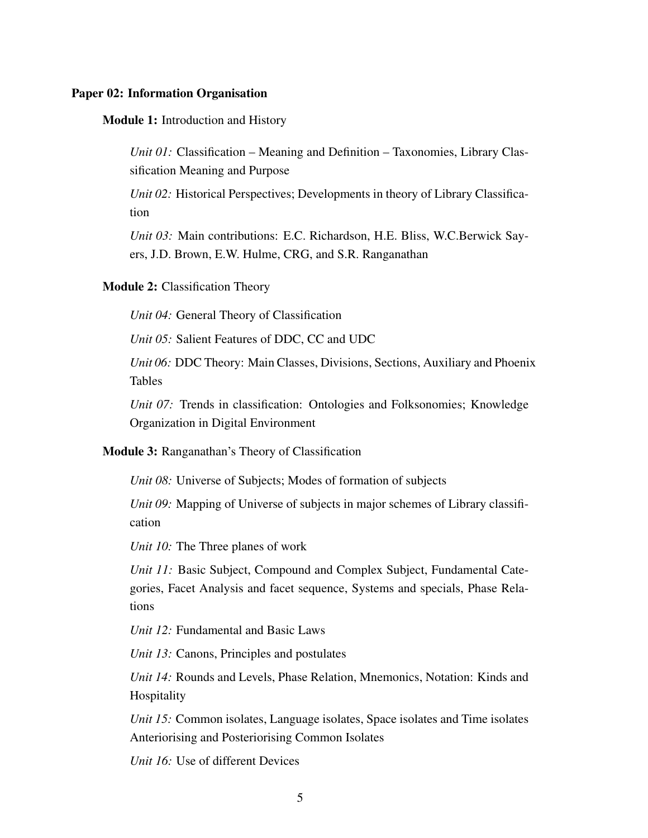### <span id="page-8-0"></span>Paper 02: Information Organisation

Module 1: Introduction and History

*Unit 01:* Classification – Meaning and Definition – Taxonomies, Library Classification Meaning and Purpose

*Unit 02:* Historical Perspectives; Developments in theory of Library Classification

*Unit 03:* Main contributions: E.C. Richardson, H.E. Bliss, W.C.Berwick Sayers, J.D. Brown, E.W. Hulme, CRG, and S.R. Ranganathan

#### Module 2: Classification Theory

*Unit 04:* General Theory of Classification

*Unit 05:* Salient Features of DDC, CC and UDC

*Unit 06:* DDC Theory: Main Classes, Divisions, Sections, Auxiliary and Phoenix Tables

*Unit 07:* Trends in classification: Ontologies and Folksonomies; Knowledge Organization in Digital Environment

Module 3: Ranganathan's Theory of Classification

*Unit 08:* Universe of Subjects; Modes of formation of subjects

*Unit 09:* Mapping of Universe of subjects in major schemes of Library classification

*Unit 10:* The Three planes of work

*Unit 11:* Basic Subject, Compound and Complex Subject, Fundamental Categories, Facet Analysis and facet sequence, Systems and specials, Phase Relations

*Unit 12:* Fundamental and Basic Laws

*Unit 13:* Canons, Principles and postulates

*Unit 14:* Rounds and Levels, Phase Relation, Mnemonics, Notation: Kinds and Hospitality

*Unit 15:* Common isolates, Language isolates, Space isolates and Time isolates Anteriorising and Posteriorising Common Isolates

*Unit 16:* Use of different Devices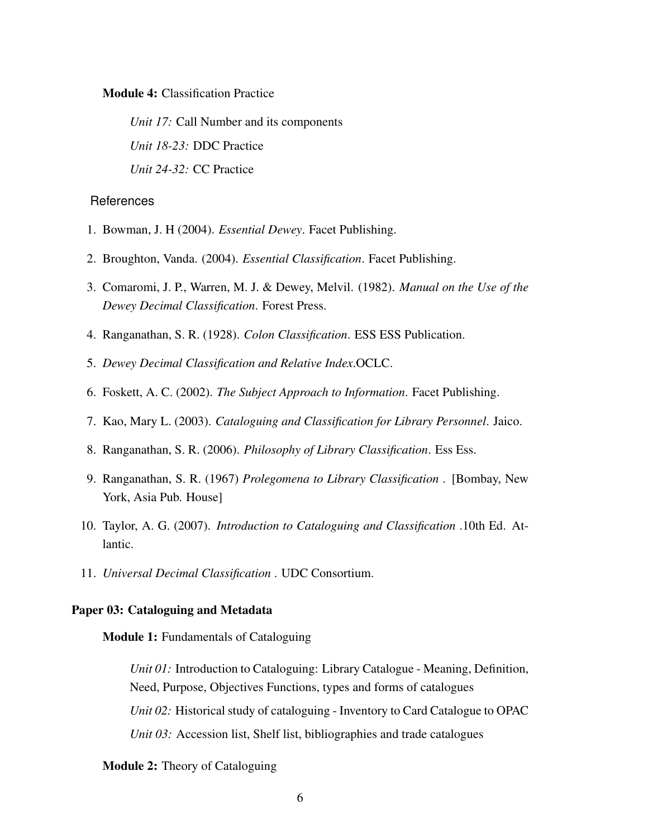Module 4: Classification Practice

*Unit 17:* Call Number and its components *Unit 18-23:* DDC Practice *Unit 24-32:* CC Practice

#### References

- 1. Bowman, J. H (2004). *Essential Dewey*. Facet Publishing.
- 2. Broughton, Vanda. (2004). *Essential Classification*. Facet Publishing.
- 3. Comaromi, J. P., Warren, M. J. & Dewey, Melvil. (1982). *Manual on the Use of the Dewey Decimal Classification*. Forest Press.
- 4. Ranganathan, S. R. (1928). *Colon Classification*. ESS ESS Publication.
- 5. *Dewey Decimal Classification and Relative Index*.OCLC.
- 6. Foskett, A. C. (2002). *The Subject Approach to Information*. Facet Publishing.
- 7. Kao, Mary L. (2003). *Cataloguing and Classification for Library Personnel*. Jaico.
- 8. Ranganathan, S. R. (2006). *Philosophy of Library Classification*. Ess Ess.
- 9. Ranganathan, S. R. (1967) *Prolegomena to Library Classification* . [Bombay, New York, Asia Pub. House]
- 10. Taylor, A. G. (2007). *Introduction to Cataloguing and Classification* .10th Ed. Atlantic.
- 11. *Universal Decimal Classification* . UDC Consortium.

## <span id="page-9-0"></span>Paper 03: Cataloguing and Metadata

Module 1: Fundamentals of Cataloguing

*Unit 01:* Introduction to Cataloguing: Library Catalogue - Meaning, Definition, Need, Purpose, Objectives Functions, types and forms of catalogues *Unit 02:* Historical study of cataloguing - Inventory to Card Catalogue to OPAC *Unit 03:* Accession list, Shelf list, bibliographies and trade catalogues

## Module 2: Theory of Cataloguing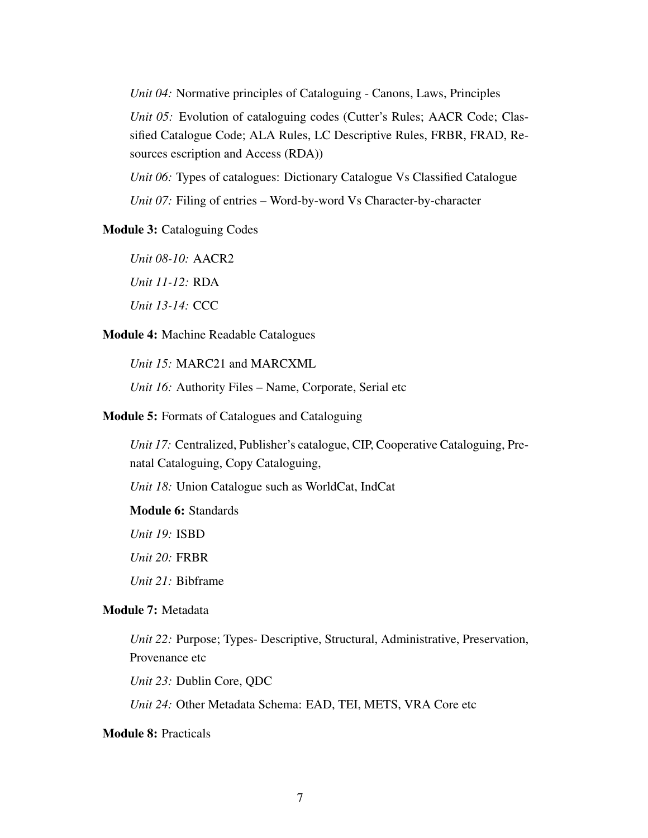*Unit 04:* Normative principles of Cataloguing - Canons, Laws, Principles

*Unit 05:* Evolution of cataloguing codes (Cutter's Rules; AACR Code; Classified Catalogue Code; ALA Rules, LC Descriptive Rules, FRBR, FRAD, Resources escription and Access (RDA))

*Unit 06:* Types of catalogues: Dictionary Catalogue Vs Classified Catalogue *Unit 07:* Filing of entries – Word-by-word Vs Character-by-character

## Module 3: Cataloguing Codes

*Unit 08-10:* AACR2 *Unit 11-12:* RDA *Unit 13-14:* CCC

#### Module 4: Machine Readable Catalogues

*Unit 15:* MARC21 and MARCXML

*Unit 16:* Authority Files – Name, Corporate, Serial etc

#### Module 5: Formats of Catalogues and Cataloguing

*Unit 17:* Centralized, Publisher's catalogue, CIP, Cooperative Cataloguing, Prenatal Cataloguing, Copy Cataloguing,

*Unit 18:* Union Catalogue such as WorldCat, IndCat

Module 6: Standards

*Unit 19:* ISBD

*Unit 20:* FRBR

*Unit 21:* Bibframe

## Module 7: Metadata

*Unit 22:* Purpose; Types- Descriptive, Structural, Administrative, Preservation, Provenance etc

*Unit 23:* Dublin Core, QDC

*Unit 24:* Other Metadata Schema: EAD, TEI, METS, VRA Core etc

# Module 8: Practicals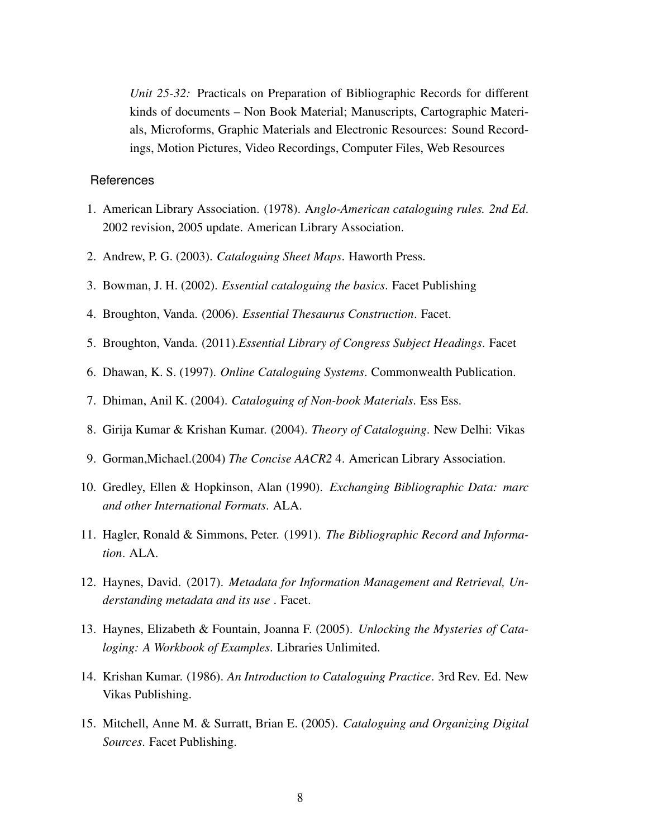*Unit 25-32:* Practicals on Preparation of Bibliographic Records for different kinds of documents – Non Book Material; Manuscripts, Cartographic Materials, Microforms, Graphic Materials and Electronic Resources: Sound Recordings, Motion Pictures, Video Recordings, Computer Files, Web Resources

- 1. American Library Association. (1978). A*nglo-American cataloguing rules. 2nd Ed*. 2002 revision, 2005 update. American Library Association.
- 2. Andrew, P. G. (2003). *Cataloguing Sheet Maps*. Haworth Press.
- 3. Bowman, J. H. (2002). *Essential cataloguing the basics*. Facet Publishing
- 4. Broughton, Vanda. (2006). *Essential Thesaurus Construction*. Facet.
- 5. Broughton, Vanda. (2011).*Essential Library of Congress Subject Headings*. Facet
- 6. Dhawan, K. S. (1997). *Online Cataloguing Systems*. Commonwealth Publication.
- 7. Dhiman, Anil K. (2004). *Cataloguing of Non-book Materials*. Ess Ess.
- 8. Girija Kumar & Krishan Kumar. (2004). *Theory of Cataloguing*. New Delhi: Vikas
- 9. Gorman,Michael.(2004) *The Concise AACR2* 4. American Library Association.
- 10. Gredley, Ellen & Hopkinson, Alan (1990). *Exchanging Bibliographic Data: marc and other International Formats*. ALA.
- 11. Hagler, Ronald & Simmons, Peter. (1991). *The Bibliographic Record and Information*. ALA.
- 12. Haynes, David. (2017). *Metadata for Information Management and Retrieval, Understanding metadata and its use* . Facet.
- 13. Haynes, Elizabeth & Fountain, Joanna F. (2005). *Unlocking the Mysteries of Cataloging: A Workbook of Examples*. Libraries Unlimited.
- 14. Krishan Kumar. (1986). *An Introduction to Cataloguing Practice*. 3rd Rev. Ed. New Vikas Publishing.
- 15. Mitchell, Anne M. & Surratt, Brian E. (2005). *Cataloguing and Organizing Digital Sources*. Facet Publishing.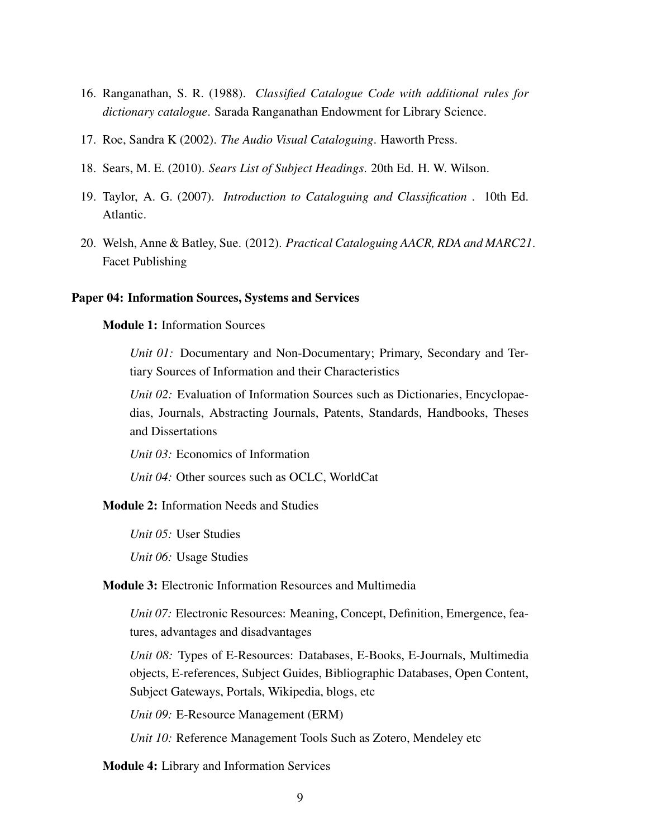- 16. Ranganathan, S. R. (1988). *Classified Catalogue Code with additional rules for dictionary catalogue*. Sarada Ranganathan Endowment for Library Science.
- 17. Roe, Sandra K (2002). *The Audio Visual Cataloguing*. Haworth Press.
- 18. Sears, M. E. (2010). *Sears List of Subject Headings*. 20th Ed. H. W. Wilson.
- 19. Taylor, A. G. (2007). *Introduction to Cataloguing and Classification* . 10th Ed. Atlantic.
- 20. Welsh, Anne & Batley, Sue. (2012). *Practical Cataloguing AACR, RDA and MARC21*. Facet Publishing

#### <span id="page-12-0"></span>Paper 04: Information Sources, Systems and Services

#### Module 1: Information Sources

*Unit 01:* Documentary and Non-Documentary; Primary, Secondary and Tertiary Sources of Information and their Characteristics

*Unit 02:* Evaluation of Information Sources such as Dictionaries, Encyclopaedias, Journals, Abstracting Journals, Patents, Standards, Handbooks, Theses and Dissertations

*Unit 03:* Economics of Information

*Unit 04:* Other sources such as OCLC, WorldCat

#### Module 2: Information Needs and Studies

*Unit 05:* User Studies

*Unit 06:* Usage Studies

## Module 3: Electronic Information Resources and Multimedia

*Unit 07:* Electronic Resources: Meaning, Concept, Definition, Emergence, features, advantages and disadvantages

*Unit 08:* Types of E-Resources: Databases, E-Books, E-Journals, Multimedia objects, E-references, Subject Guides, Bibliographic Databases, Open Content, Subject Gateways, Portals, Wikipedia, blogs, etc

*Unit 09:* E-Resource Management (ERM)

*Unit 10:* Reference Management Tools Such as Zotero, Mendeley etc

Module 4: Library and Information Services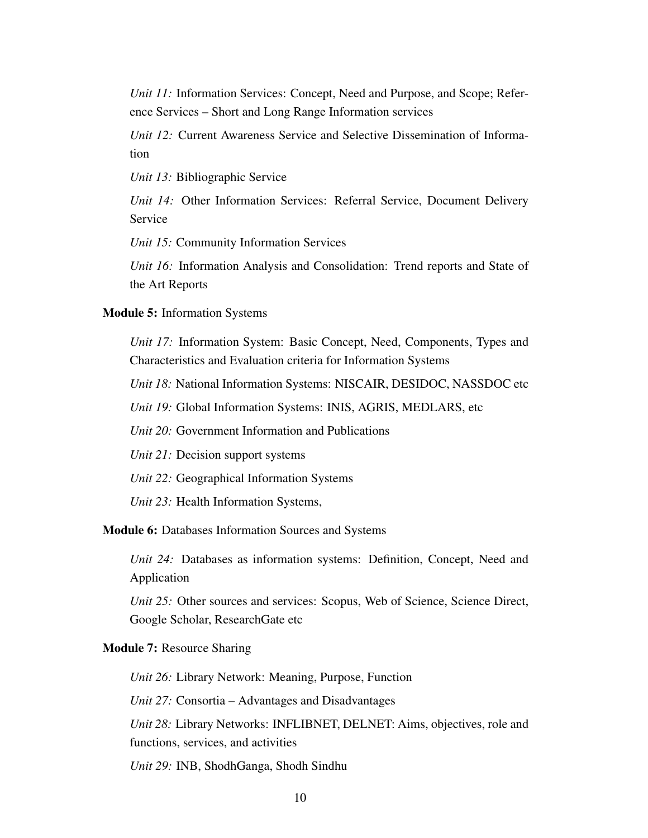*Unit 11:* Information Services: Concept, Need and Purpose, and Scope; Reference Services – Short and Long Range Information services

*Unit 12:* Current Awareness Service and Selective Dissemination of Information

*Unit 13:* Bibliographic Service

*Unit 14:* Other Information Services: Referral Service, Document Delivery Service

*Unit 15:* Community Information Services

*Unit 16:* Information Analysis and Consolidation: Trend reports and State of the Art Reports

#### Module 5: Information Systems

*Unit 17:* Information System: Basic Concept, Need, Components, Types and Characteristics and Evaluation criteria for Information Systems

*Unit 18:* National Information Systems: NISCAIR, DESIDOC, NASSDOC etc

*Unit 19:* Global Information Systems: INIS, AGRIS, MEDLARS, etc

*Unit 20:* Government Information and Publications

*Unit 21:* Decision support systems

*Unit 22:* Geographical Information Systems

*Unit 23:* Health Information Systems,

Module 6: Databases Information Sources and Systems

*Unit 24:* Databases as information systems: Definition, Concept, Need and Application

*Unit 25:* Other sources and services: Scopus, Web of Science, Science Direct, Google Scholar, ResearchGate etc

#### Module 7: Resource Sharing

*Unit 26:* Library Network: Meaning, Purpose, Function

*Unit 27:* Consortia – Advantages and Disadvantages

*Unit 28:* Library Networks: INFLIBNET, DELNET: Aims, objectives, role and functions, services, and activities

*Unit 29:* INB, ShodhGanga, Shodh Sindhu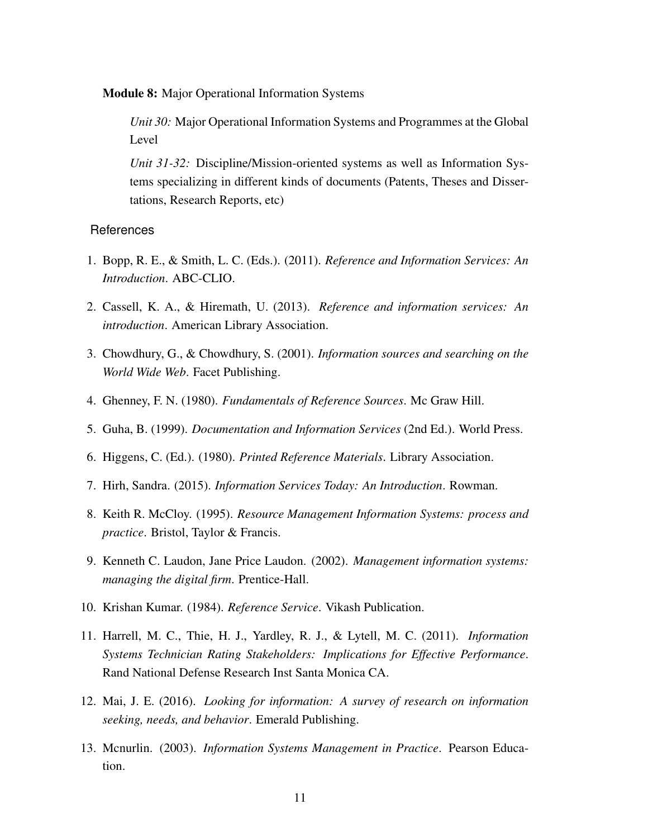Module 8: Major Operational Information Systems

*Unit 30:* Major Operational Information Systems and Programmes at the Global Level

*Unit 31-32:* Discipline/Mission-oriented systems as well as Information Systems specializing in different kinds of documents (Patents, Theses and Dissertations, Research Reports, etc)

- 1. Bopp, R. E., & Smith, L. C. (Eds.). (2011). *Reference and Information Services: An Introduction*. ABC-CLIO.
- 2. Cassell, K. A., & Hiremath, U. (2013). *Reference and information services: An introduction*. American Library Association.
- 3. Chowdhury, G., & Chowdhury, S. (2001). *Information sources and searching on the World Wide Web*. Facet Publishing.
- 4. Ghenney, F. N. (1980). *Fundamentals of Reference Sources*. Mc Graw Hill.
- 5. Guha, B. (1999). *Documentation and Information Services* (2nd Ed.). World Press.
- 6. Higgens, C. (Ed.). (1980). *Printed Reference Materials*. Library Association.
- 7. Hirh, Sandra. (2015). *Information Services Today: An Introduction*. Rowman.
- 8. Keith R. McCloy. (1995). *Resource Management Information Systems: process and practice*. Bristol, Taylor & Francis.
- 9. Kenneth C. Laudon, Jane Price Laudon. (2002). *Management information systems: managing the digital firm*. Prentice-Hall.
- 10. Krishan Kumar. (1984). *Reference Service*. Vikash Publication.
- 11. Harrell, M. C., Thie, H. J., Yardley, R. J., & Lytell, M. C. (2011). *Information Systems Technician Rating Stakeholders: Implications for Effective Performance*. Rand National Defense Research Inst Santa Monica CA.
- 12. Mai, J. E. (2016). *Looking for information: A survey of research on information seeking, needs, and behavior*. Emerald Publishing.
- 13. Mcnurlin. (2003). *Information Systems Management in Practice*. Pearson Education.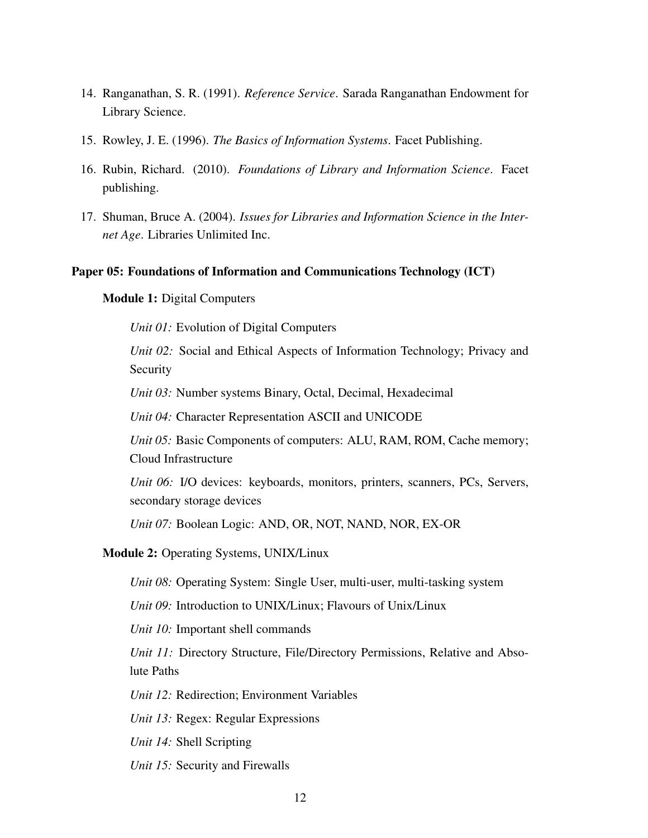- 14. Ranganathan, S. R. (1991). *Reference Service*. Sarada Ranganathan Endowment for Library Science.
- 15. Rowley, J. E. (1996). *The Basics of Information Systems*. Facet Publishing.
- 16. Rubin, Richard. (2010). *Foundations of Library and Information Science*. Facet publishing.
- 17. Shuman, Bruce A. (2004). *Issues for Libraries and Information Science in the Internet Age*. Libraries Unlimited Inc.

#### <span id="page-15-0"></span>Paper 05: Foundations of Information and Communications Technology (ICT)

#### Module 1: Digital Computers

*Unit 01:* Evolution of Digital Computers

*Unit 02:* Social and Ethical Aspects of Information Technology; Privacy and **Security** 

*Unit 03:* Number systems Binary, Octal, Decimal, Hexadecimal

*Unit 04:* Character Representation ASCII and UNICODE

*Unit 05:* Basic Components of computers: ALU, RAM, ROM, Cache memory; Cloud Infrastructure

*Unit 06:* I/O devices: keyboards, monitors, printers, scanners, PCs, Servers, secondary storage devices

*Unit 07:* Boolean Logic: AND, OR, NOT, NAND, NOR, EX-OR

# Module 2: Operating Systems, UNIX/Linux

*Unit 08:* Operating System: Single User, multi-user, multi-tasking system

*Unit 09:* Introduction to UNIX/Linux; Flavours of Unix/Linux

*Unit 10:* Important shell commands

*Unit 11:* Directory Structure, File/Directory Permissions, Relative and Absolute Paths

*Unit 12:* Redirection; Environment Variables

*Unit 13:* Regex: Regular Expressions

*Unit 14:* Shell Scripting

*Unit 15:* Security and Firewalls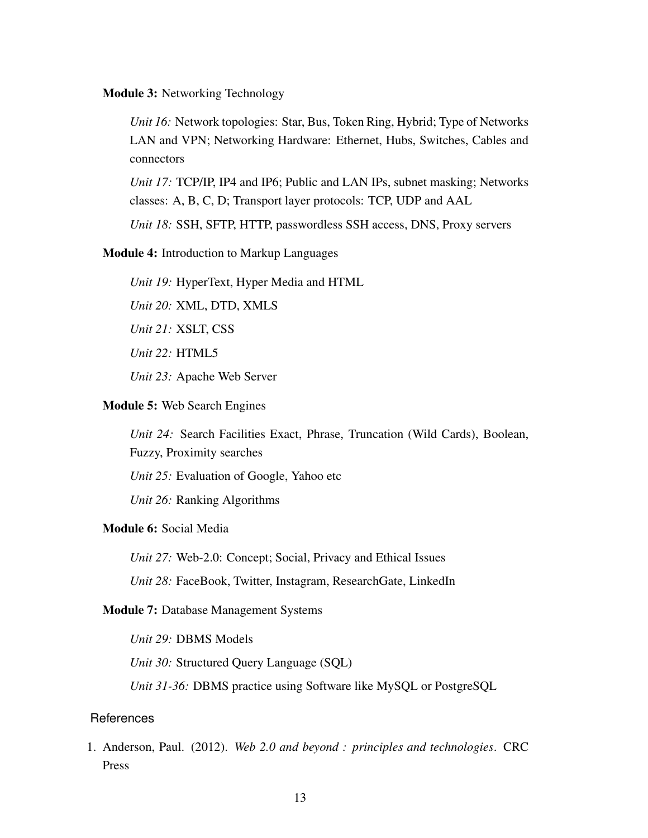#### Module 3: Networking Technology

*Unit 16:* Network topologies: Star, Bus, Token Ring, Hybrid; Type of Networks LAN and VPN; Networking Hardware: Ethernet, Hubs, Switches, Cables and connectors

*Unit 17:* TCP/IP, IP4 and IP6; Public and LAN IPs, subnet masking; Networks classes: A, B, C, D; Transport layer protocols: TCP, UDP and AAL

*Unit 18:* SSH, SFTP, HTTP, passwordless SSH access, DNS, Proxy servers

## Module 4: Introduction to Markup Languages

*Unit 19:* HyperText, Hyper Media and HTML

*Unit 20:* XML, DTD, XMLS

*Unit 21:* XSLT, CSS

*Unit 22:* HTML5

*Unit 23:* Apache Web Server

#### Module 5: Web Search Engines

*Unit 24:* Search Facilities Exact, Phrase, Truncation (Wild Cards), Boolean, Fuzzy, Proximity searches

*Unit 25:* Evaluation of Google, Yahoo etc

*Unit 26:* Ranking Algorithms

# Module 6: Social Media

*Unit 27:* Web-2.0: Concept; Social, Privacy and Ethical Issues

*Unit 28:* FaceBook, Twitter, Instagram, ResearchGate, LinkedIn

#### Module 7: Database Management Systems

*Unit 29:* DBMS Models

*Unit 30:* Structured Query Language (SQL)

*Unit 31-36:* DBMS practice using Software like MySQL or PostgreSQL

# References

1. Anderson, Paul. (2012). *Web 2.0 and beyond : principles and technologies*. CRC Press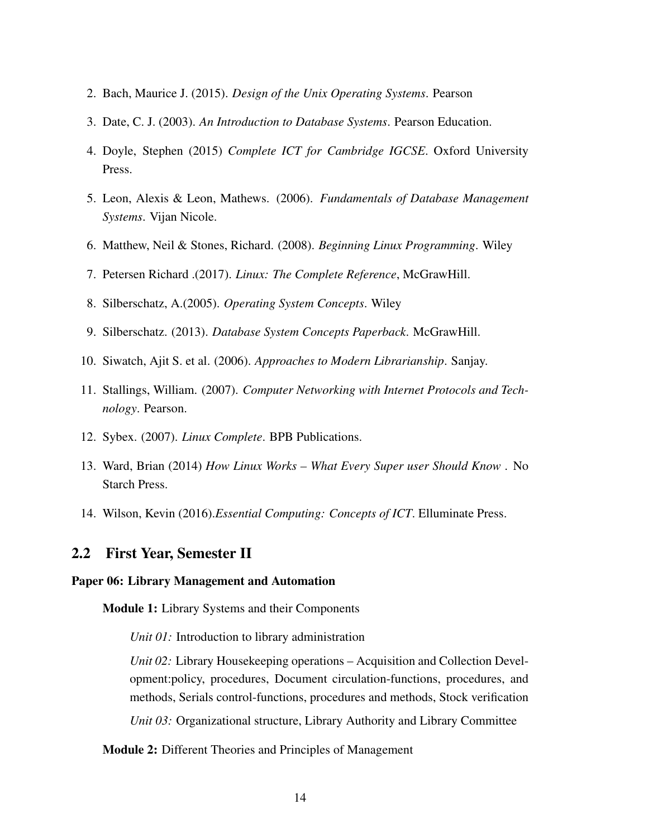- 2. Bach, Maurice J. (2015). *Design of the Unix Operating Systems*. Pearson
- 3. Date, C. J. (2003). *An Introduction to Database Systems*. Pearson Education.
- 4. Doyle, Stephen (2015) *Complete ICT for Cambridge IGCSE*. Oxford University Press.
- 5. Leon, Alexis & Leon, Mathews. (2006). *Fundamentals of Database Management Systems*. Vijan Nicole.
- 6. Matthew, Neil & Stones, Richard. (2008). *Beginning Linux Programming*. Wiley
- 7. Petersen Richard .(2017). *Linux: The Complete Reference*, McGrawHill.
- 8. Silberschatz, A.(2005). *Operating System Concepts*. Wiley
- 9. Silberschatz. (2013). *Database System Concepts Paperback*. McGrawHill.
- 10. Siwatch, Ajit S. et al. (2006). *Approaches to Modern Librarianship*. Sanjay.
- 11. Stallings, William. (2007). *Computer Networking with Internet Protocols and Technology*. Pearson.
- 12. Sybex. (2007). *Linux Complete*. BPB Publications.
- 13. Ward, Brian (2014) *How Linux Works What Every Super user Should Know* . No Starch Press.
- 14. Wilson, Kevin (2016).*Essential Computing: Concepts of ICT*. Elluminate Press.

## <span id="page-17-0"></span>2.2 First Year, Semester II

## <span id="page-17-1"></span>Paper 06: Library Management and Automation

Module 1: Library Systems and their Components

*Unit 01:* Introduction to library administration

*Unit 02:* Library Housekeeping operations – Acquisition and Collection Development:policy, procedures, Document circulation-functions, procedures, and methods, Serials control-functions, procedures and methods, Stock verification

*Unit 03:* Organizational structure, Library Authority and Library Committee

Module 2: Different Theories and Principles of Management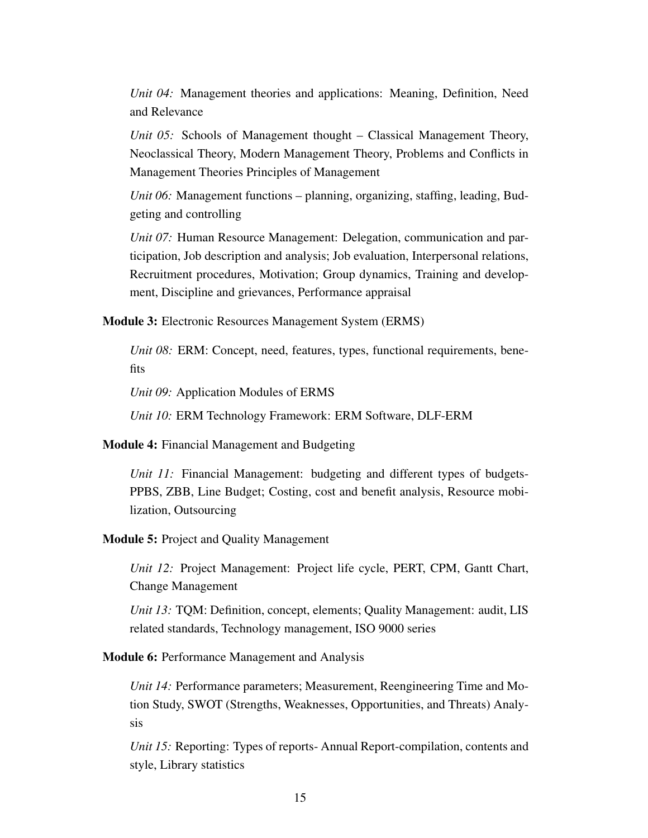*Unit 04:* Management theories and applications: Meaning, Definition, Need and Relevance

*Unit 05:* Schools of Management thought – Classical Management Theory, Neoclassical Theory, Modern Management Theory, Problems and Conflicts in Management Theories Principles of Management

*Unit 06:* Management functions – planning, organizing, staffing, leading, Budgeting and controlling

*Unit 07:* Human Resource Management: Delegation, communication and participation, Job description and analysis; Job evaluation, Interpersonal relations, Recruitment procedures, Motivation; Group dynamics, Training and development, Discipline and grievances, Performance appraisal

Module 3: Electronic Resources Management System (ERMS)

*Unit 08:* ERM: Concept, need, features, types, functional requirements, benefits

*Unit 09:* Application Modules of ERMS

*Unit 10:* ERM Technology Framework: ERM Software, DLF-ERM

Module 4: Financial Management and Budgeting

*Unit 11:* Financial Management: budgeting and different types of budgets-PPBS, ZBB, Line Budget; Costing, cost and benefit analysis, Resource mobilization, Outsourcing

Module 5: Project and Quality Management

*Unit 12:* Project Management: Project life cycle, PERT, CPM, Gantt Chart, Change Management

*Unit 13:* TQM: Definition, concept, elements; Quality Management: audit, LIS related standards, Technology management, ISO 9000 series

Module 6: Performance Management and Analysis

*Unit 14:* Performance parameters; Measurement, Reengineering Time and Motion Study, SWOT (Strengths, Weaknesses, Opportunities, and Threats) Analysis

*Unit 15:* Reporting: Types of reports- Annual Report-compilation, contents and style, Library statistics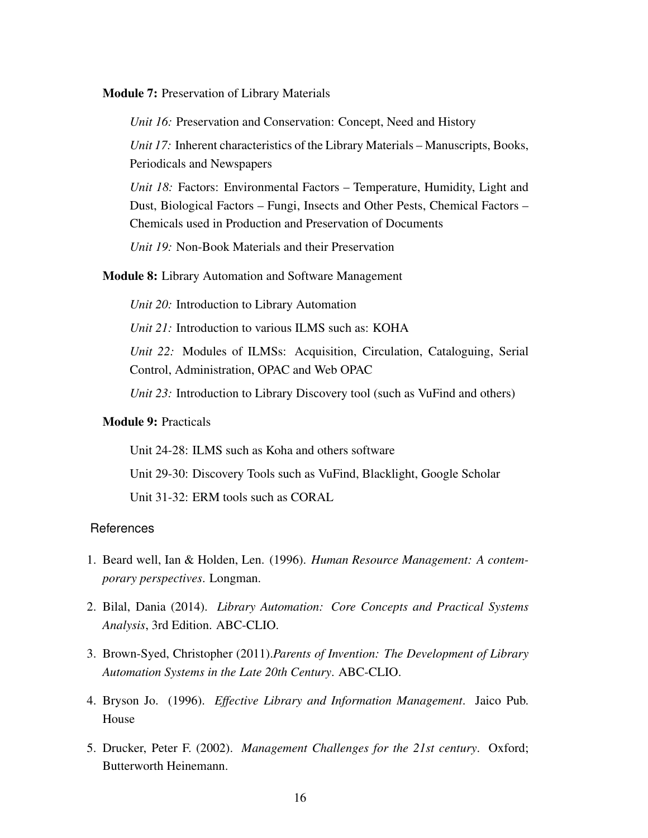Module 7: Preservation of Library Materials

*Unit 16:* Preservation and Conservation: Concept, Need and History

*Unit 17:* Inherent characteristics of the Library Materials – Manuscripts, Books, Periodicals and Newspapers

*Unit 18:* Factors: Environmental Factors – Temperature, Humidity, Light and Dust, Biological Factors – Fungi, Insects and Other Pests, Chemical Factors – Chemicals used in Production and Preservation of Documents

*Unit 19:* Non-Book Materials and their Preservation

#### Module 8: Library Automation and Software Management

*Unit 20:* Introduction to Library Automation

*Unit 21:* Introduction to various ILMS such as: KOHA

*Unit 22:* Modules of ILMSs: Acquisition, Circulation, Cataloguing, Serial Control, Administration, OPAC and Web OPAC

*Unit 23:* Introduction to Library Discovery tool (such as VuFind and others)

## Module 9: Practicals

Unit 24-28: ILMS such as Koha and others software

Unit 29-30: Discovery Tools such as VuFind, Blacklight, Google Scholar

Unit 31-32: ERM tools such as CORAL

- 1. Beard well, Ian & Holden, Len. (1996). *Human Resource Management: A contemporary perspectives*. Longman.
- 2. Bilal, Dania (2014). *Library Automation: Core Concepts and Practical Systems Analysis*, 3rd Edition. ABC-CLIO.
- 3. Brown-Syed, Christopher (2011).*Parents of Invention: The Development of Library Automation Systems in the Late 20th Century*. ABC-CLIO.
- 4. Bryson Jo. (1996). *Effective Library and Information Management*. Jaico Pub. House
- 5. Drucker, Peter F. (2002). *Management Challenges for the 21st century*. Oxford; Butterworth Heinemann.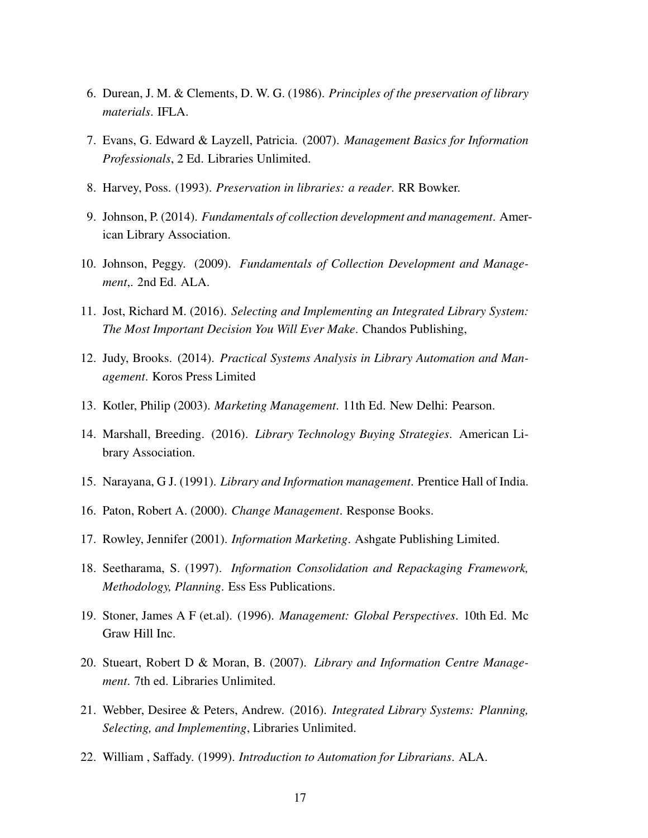- 6. Durean, J. M. & Clements, D. W. G. (1986). *Principles of the preservation of library materials*. IFLA.
- 7. Evans, G. Edward & Layzell, Patricia. (2007). *Management Basics for Information Professionals*, 2 Ed. Libraries Unlimited.
- 8. Harvey, Poss. (1993). *Preservation in libraries: a reader*. RR Bowker.
- 9. Johnson, P. (2014). *Fundamentals of collection development and management*. American Library Association.
- 10. Johnson, Peggy. (2009). *Fundamentals of Collection Development and Management*,. 2nd Ed. ALA.
- 11. Jost, Richard M. (2016). *Selecting and Implementing an Integrated Library System: The Most Important Decision You Will Ever Make*. Chandos Publishing,
- 12. Judy, Brooks. (2014). *Practical Systems Analysis in Library Automation and Management*. Koros Press Limited
- 13. Kotler, Philip (2003). *Marketing Management*. 11th Ed. New Delhi: Pearson.
- 14. Marshall, Breeding. (2016). *Library Technology Buying Strategies*. American Library Association.
- 15. Narayana, G J. (1991). *Library and Information management*. Prentice Hall of India.
- 16. Paton, Robert A. (2000). *Change Management*. Response Books.
- 17. Rowley, Jennifer (2001). *Information Marketing*. Ashgate Publishing Limited.
- 18. Seetharama, S. (1997). *Information Consolidation and Repackaging Framework, Methodology, Planning*. Ess Ess Publications.
- 19. Stoner, James A F (et.al). (1996). *Management: Global Perspectives*. 10th Ed. Mc Graw Hill Inc.
- 20. Stueart, Robert D & Moran, B. (2007). *Library and Information Centre Management*. 7th ed. Libraries Unlimited.
- 21. Webber, Desiree & Peters, Andrew. (2016). *Integrated Library Systems: Planning, Selecting, and Implementing*, Libraries Unlimited.
- 22. William , Saffady. (1999). *Introduction to Automation for Librarians*. ALA.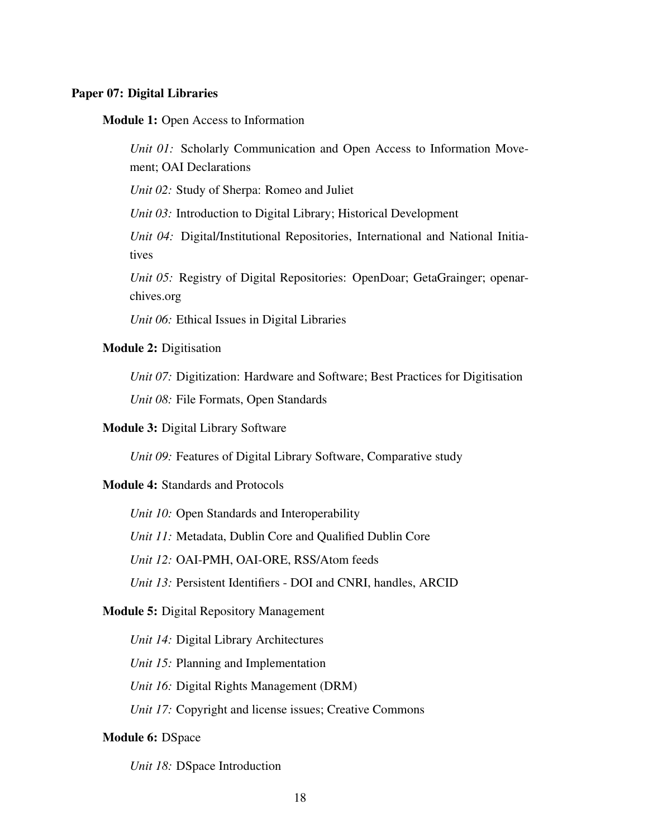#### <span id="page-21-0"></span>Paper 07: Digital Libraries

#### Module 1: Open Access to Information

*Unit 01:* Scholarly Communication and Open Access to Information Movement; OAI Declarations

*Unit 02:* Study of Sherpa: Romeo and Juliet

*Unit 03:* Introduction to Digital Library; Historical Development

*Unit 04:* Digital/Institutional Repositories, International and National Initiatives

*Unit 05:* Registry of Digital Repositories: OpenDoar; GetaGrainger; openarchives.org

*Unit 06:* Ethical Issues in Digital Libraries

## Module 2: Digitisation

*Unit 07:* Digitization: Hardware and Software; Best Practices for Digitisation *Unit 08:* File Formats, Open Standards

#### Module 3: Digital Library Software

*Unit 09:* Features of Digital Library Software, Comparative study

## Module 4: Standards and Protocols

*Unit 10:* Open Standards and Interoperability

*Unit 11:* Metadata, Dublin Core and Qualified Dublin Core

*Unit 12:* OAI-PMH, OAI-ORE, RSS/Atom feeds

*Unit 13:* Persistent Identifiers - DOI and CNRI, handles, ARCID

## Module 5: Digital Repository Management

*Unit 14:* Digital Library Architectures

*Unit 15:* Planning and Implementation

*Unit 16:* Digital Rights Management (DRM)

*Unit 17:* Copyright and license issues; Creative Commons

#### Module 6: DSpace

*Unit 18:* DSpace Introduction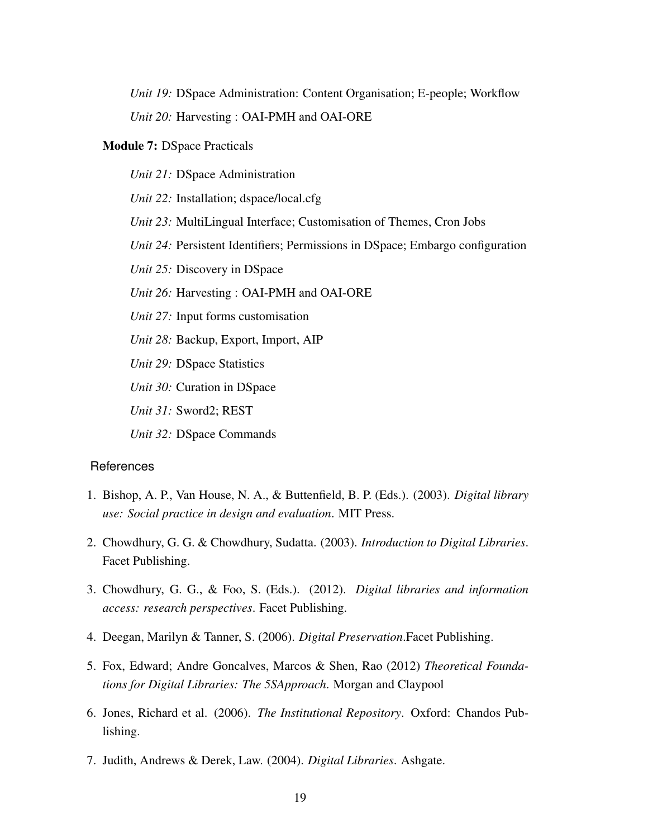*Unit 19:* DSpace Administration: Content Organisation; E-people; Workflow *Unit 20:* Harvesting : OAI-PMH and OAI-ORE

#### Module 7: DSpace Practicals

*Unit 21:* DSpace Administration *Unit 22:* Installation; dspace/local.cfg *Unit 23:* MultiLingual Interface; Customisation of Themes, Cron Jobs *Unit 24:* Persistent Identifiers; Permissions in DSpace; Embargo configuration *Unit 25:* Discovery in DSpace *Unit 26:* Harvesting : OAI-PMH and OAI-ORE *Unit 27:* Input forms customisation *Unit 28:* Backup, Export, Import, AIP *Unit 29:* DSpace Statistics *Unit 30:* Curation in DSpace *Unit 31:* Sword2; REST *Unit 32:* DSpace Commands

- 1. Bishop, A. P., Van House, N. A., & Buttenfield, B. P. (Eds.). (2003). *Digital library use: Social practice in design and evaluation*. MIT Press.
- 2. Chowdhury, G. G. & Chowdhury, Sudatta. (2003). *Introduction to Digital Libraries*. Facet Publishing.
- 3. Chowdhury, G. G., & Foo, S. (Eds.). (2012). *Digital libraries and information access: research perspectives*. Facet Publishing.
- 4. Deegan, Marilyn & Tanner, S. (2006). *Digital Preservation*.Facet Publishing.
- 5. Fox, Edward; Andre Goncalves, Marcos & Shen, Rao (2012) *Theoretical Foundations for Digital Libraries: The 5SApproach*. Morgan and Claypool
- 6. Jones, Richard et al. (2006). *The Institutional Repository*. Oxford: Chandos Publishing.
- 7. Judith, Andrews & Derek, Law. (2004). *Digital Libraries*. Ashgate.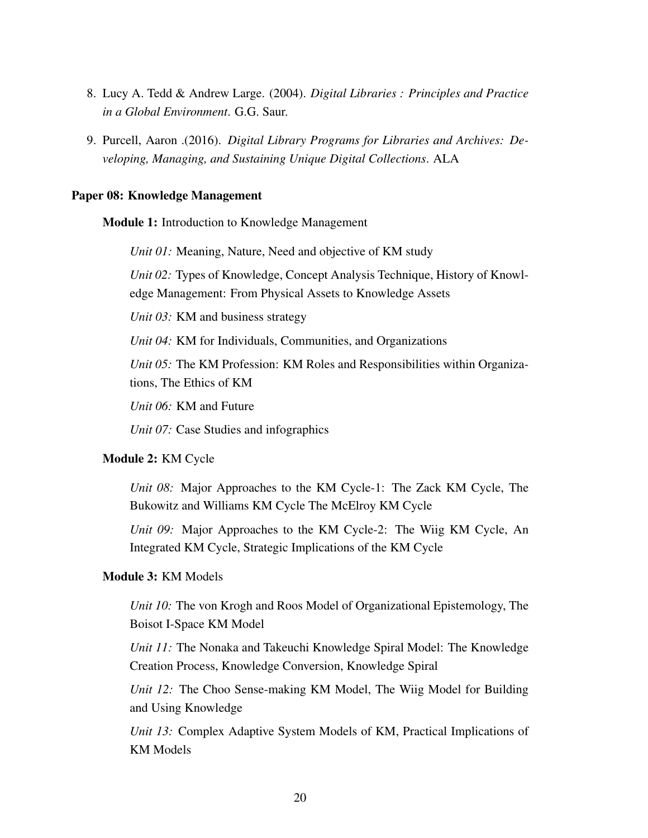- 8. Lucy A. Tedd & Andrew Large. (2004). *Digital Libraries : Principles and Practice in a Global Environment*. G.G. Saur.
- 9. Purcell, Aaron .(2016). *Digital Library Programs for Libraries and Archives: Developing, Managing, and Sustaining Unique Digital Collections*. ALA

#### <span id="page-23-0"></span>Paper 08: Knowledge Management

Module 1: Introduction to Knowledge Management

*Unit 01:* Meaning, Nature, Need and objective of KM study

*Unit 02:* Types of Knowledge, Concept Analysis Technique, History of Knowledge Management: From Physical Assets to Knowledge Assets

*Unit 03:* KM and business strategy

*Unit 04:* KM for Individuals, Communities, and Organizations

*Unit 05:* The KM Profession: KM Roles and Responsibilities within Organizations, The Ethics of KM

*Unit 06:* KM and Future

*Unit 07:* Case Studies and infographics

## Module 2: KM Cycle

*Unit 08:* Major Approaches to the KM Cycle-1: The Zack KM Cycle, The Bukowitz and Williams KM Cycle The McElroy KM Cycle

*Unit 09:* Major Approaches to the KM Cycle-2: The Wiig KM Cycle, An Integrated KM Cycle, Strategic Implications of the KM Cycle

### Module 3: KM Models

*Unit 10:* The von Krogh and Roos Model of Organizational Epistemology, The Boisot I-Space KM Model

*Unit 11:* The Nonaka and Takeuchi Knowledge Spiral Model: The Knowledge Creation Process, Knowledge Conversion, Knowledge Spiral

*Unit 12:* The Choo Sense-making KM Model, The Wiig Model for Building and Using Knowledge

*Unit 13:* Complex Adaptive System Models of KM, Practical Implications of KM Models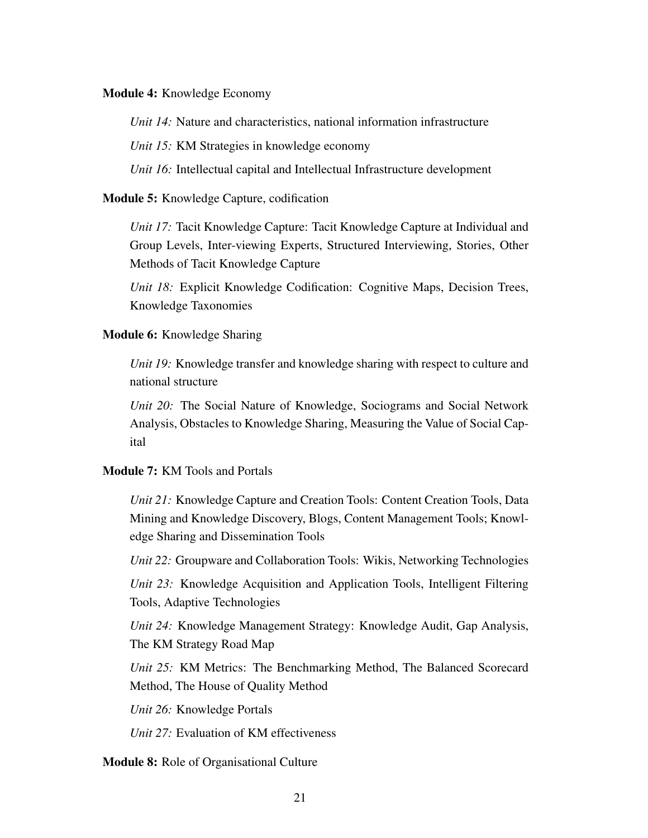Module 4: Knowledge Economy

*Unit 14:* Nature and characteristics, national information infrastructure

*Unit 15:* KM Strategies in knowledge economy

*Unit 16:* Intellectual capital and Intellectual Infrastructure development

Module 5: Knowledge Capture, codification

*Unit 17:* Tacit Knowledge Capture: Tacit Knowledge Capture at Individual and Group Levels, Inter-viewing Experts, Structured Interviewing, Stories, Other Methods of Tacit Knowledge Capture

*Unit 18:* Explicit Knowledge Codification: Cognitive Maps, Decision Trees, Knowledge Taxonomies

#### Module 6: Knowledge Sharing

*Unit 19:* Knowledge transfer and knowledge sharing with respect to culture and national structure

*Unit 20:* The Social Nature of Knowledge, Sociograms and Social Network Analysis, Obstacles to Knowledge Sharing, Measuring the Value of Social Capital

# Module 7: KM Tools and Portals

*Unit 21:* Knowledge Capture and Creation Tools: Content Creation Tools, Data Mining and Knowledge Discovery, Blogs, Content Management Tools; Knowledge Sharing and Dissemination Tools

*Unit 22:* Groupware and Collaboration Tools: Wikis, Networking Technologies

*Unit 23:* Knowledge Acquisition and Application Tools, Intelligent Filtering Tools, Adaptive Technologies

*Unit 24:* Knowledge Management Strategy: Knowledge Audit, Gap Analysis, The KM Strategy Road Map

*Unit 25:* KM Metrics: The Benchmarking Method, The Balanced Scorecard Method, The House of Quality Method

*Unit 26:* Knowledge Portals

*Unit 27:* Evaluation of KM effectiveness

Module 8: Role of Organisational Culture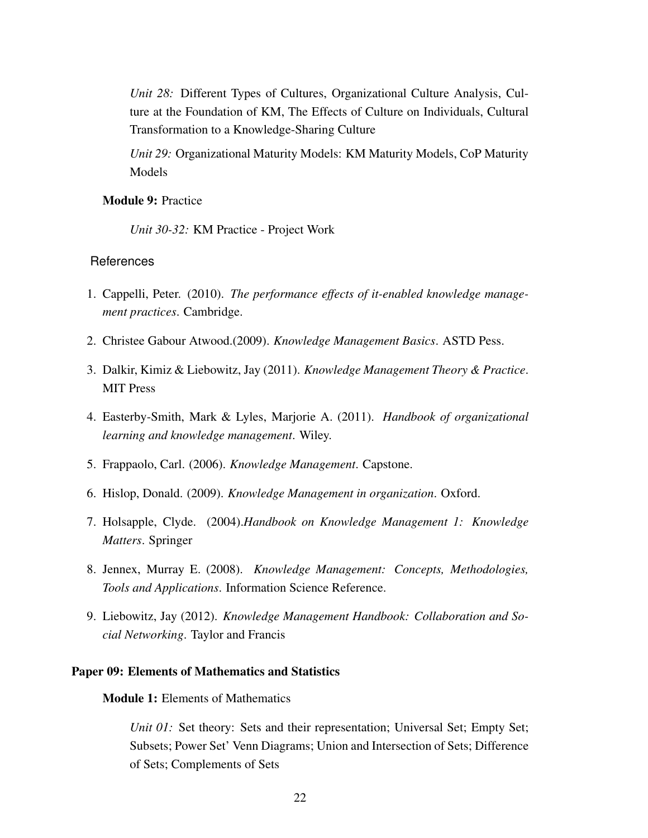*Unit 28:* Different Types of Cultures, Organizational Culture Analysis, Culture at the Foundation of KM, The Effects of Culture on Individuals, Cultural Transformation to a Knowledge-Sharing Culture

*Unit 29:* Organizational Maturity Models: KM Maturity Models, CoP Maturity Models

#### Module 9: Practice

*Unit 30-32:* KM Practice - Project Work

# **References**

- 1. Cappelli, Peter. (2010). *The performance effects of it-enabled knowledge management practices*. Cambridge.
- 2. Christee Gabour Atwood.(2009). *Knowledge Management Basics*. ASTD Pess.
- 3. Dalkir, Kimiz & Liebowitz, Jay (2011). *Knowledge Management Theory & Practice*. MIT Press
- 4. Easterby-Smith, Mark & Lyles, Marjorie A. (2011). *Handbook of organizational learning and knowledge management*. Wiley.
- 5. Frappaolo, Carl. (2006). *Knowledge Management*. Capstone.
- 6. Hislop, Donald. (2009). *Knowledge Management in organization*. Oxford.
- 7. Holsapple, Clyde. (2004).*Handbook on Knowledge Management 1: Knowledge Matters*. Springer
- 8. Jennex, Murray E. (2008). *Knowledge Management: Concepts, Methodologies, Tools and Applications*. Information Science Reference.
- 9. Liebowitz, Jay (2012). *Knowledge Management Handbook: Collaboration and Social Networking*. Taylor and Francis

## <span id="page-25-0"></span>Paper 09: Elements of Mathematics and Statistics

Module 1: Elements of Mathematics

*Unit 01:* Set theory: Sets and their representation; Universal Set; Empty Set; Subsets; Power Set' Venn Diagrams; Union and Intersection of Sets; Difference of Sets; Complements of Sets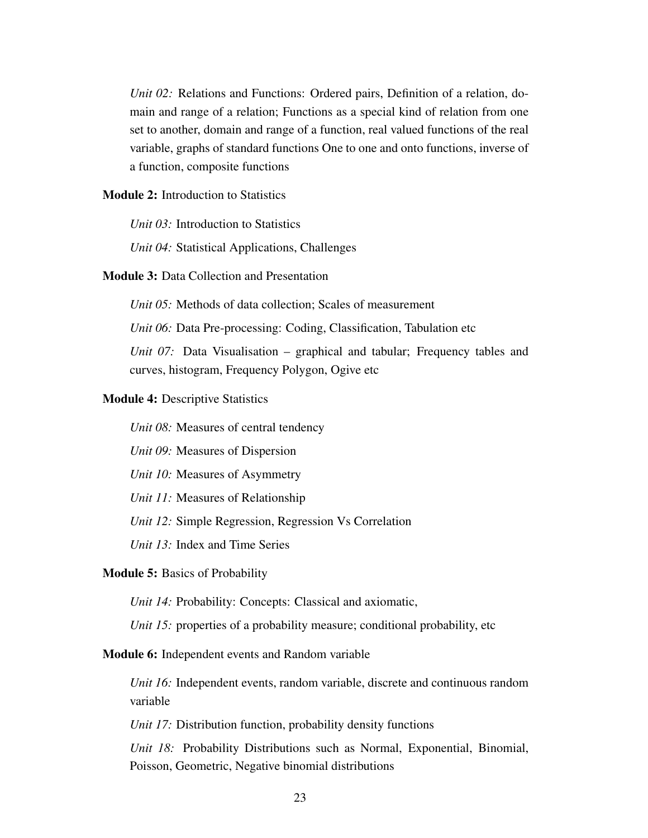*Unit 02:* Relations and Functions: Ordered pairs, Definition of a relation, domain and range of a relation; Functions as a special kind of relation from one set to another, domain and range of a function, real valued functions of the real variable, graphs of standard functions One to one and onto functions, inverse of a function, composite functions

Module 2: Introduction to Statistics

*Unit 03:* Introduction to Statistics

*Unit 04:* Statistical Applications, Challenges

### Module 3: Data Collection and Presentation

*Unit 05:* Methods of data collection: Scales of measurement

*Unit 06:* Data Pre-processing: Coding, Classification, Tabulation etc

*Unit 07:* Data Visualisation – graphical and tabular; Frequency tables and curves, histogram, Frequency Polygon, Ogive etc

#### Module 4: Descriptive Statistics

*Unit 08:* Measures of central tendency

*Unit 09:* Measures of Dispersion

*Unit 10:* Measures of Asymmetry

*Unit 11:* Measures of Relationship

*Unit 12:* Simple Regression, Regression Vs Correlation

*Unit 13:* Index and Time Series

#### Module 5: Basics of Probability

*Unit 14:* Probability: Concepts: Classical and axiomatic,

*Unit 15:* properties of a probability measure; conditional probability, etc.

#### Module 6: Independent events and Random variable

*Unit 16:* Independent events, random variable, discrete and continuous random variable

*Unit 17:* Distribution function, probability density functions

*Unit 18:* Probability Distributions such as Normal, Exponential, Binomial, Poisson, Geometric, Negative binomial distributions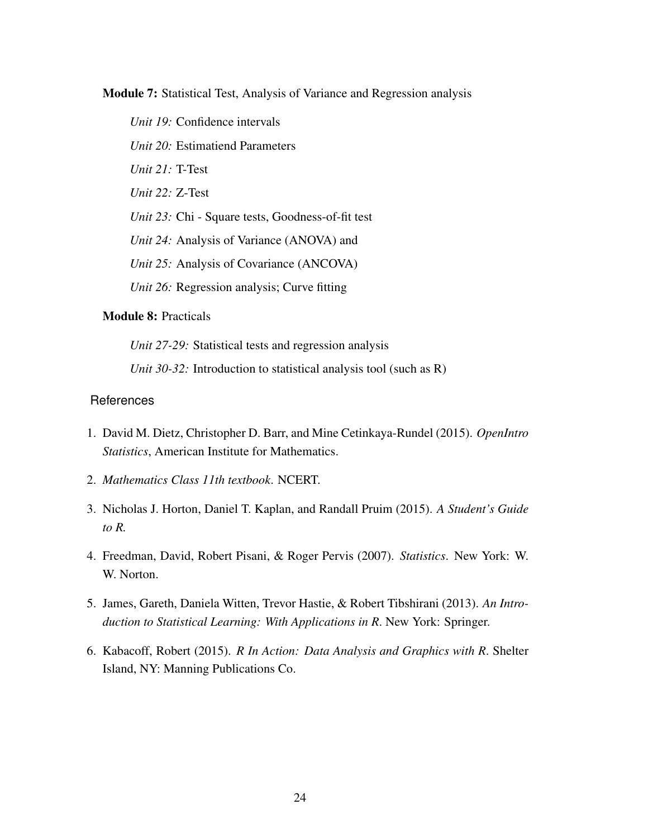Module 7: Statistical Test, Analysis of Variance and Regression analysis

*Unit 19:* Confidence intervals *Unit 20:* Estimatiend Parameters *Unit 21:* T-Test *Unit 22:* Z-Test *Unit 23:* Chi - Square tests, Goodness-of-fit test *Unit 24:* Analysis of Variance (ANOVA) and *Unit 25:* Analysis of Covariance (ANCOVA) *Unit 26:* Regression analysis; Curve fitting

# Module 8: Practicals

*Unit 27-29:* Statistical tests and regression analysis

*Unit 30-32:* Introduction to statistical analysis tool (such as R)

- 1. David M. Dietz, Christopher D. Barr, and Mine Cetinkaya-Rundel (2015). *OpenIntro Statistics*, American Institute for Mathematics.
- 2. *Mathematics Class 11th textbook*. NCERT.
- 3. Nicholas J. Horton, Daniel T. Kaplan, and Randall Pruim (2015). *A Student's Guide to R.*
- 4. Freedman, David, Robert Pisani, & Roger Pervis (2007). *Statistics*. New York: W. W. Norton.
- 5. James, Gareth, Daniela Witten, Trevor Hastie, & Robert Tibshirani (2013). *An Introduction to Statistical Learning: With Applications in R*. New York: Springer.
- 6. Kabacoff, Robert (2015). *R In Action: Data Analysis and Graphics with R*. Shelter Island, NY: Manning Publications Co.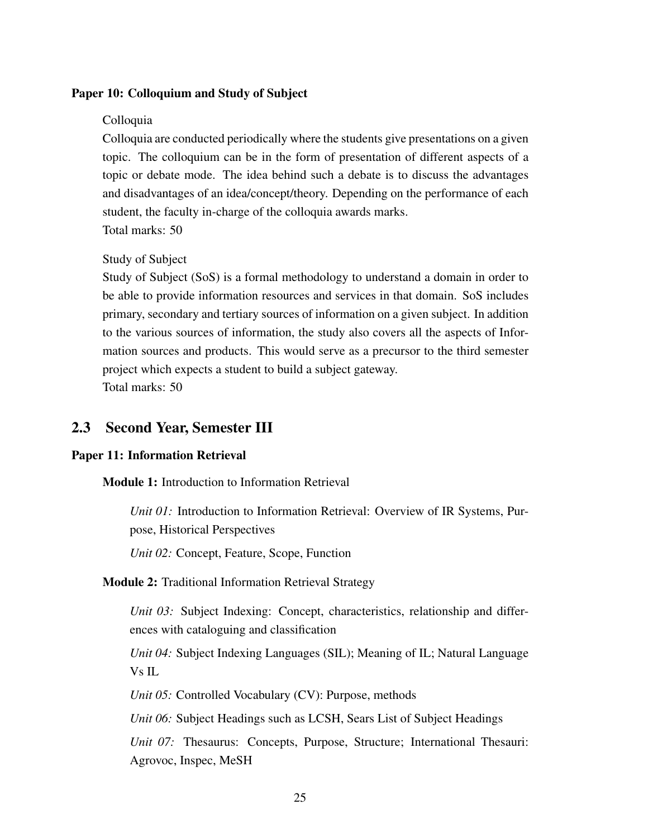## <span id="page-28-1"></span>Paper 10: Colloquium and Study of Subject

#### Colloquia

Colloquia are conducted periodically where the students give presentations on a given topic. The colloquium can be in the form of presentation of different aspects of a topic or debate mode. The idea behind such a debate is to discuss the advantages and disadvantages of an idea/concept/theory. Depending on the performance of each student, the faculty in-charge of the colloquia awards marks. Total marks: 50

#### Study of Subject

Study of Subject (SoS) is a formal methodology to understand a domain in order to be able to provide information resources and services in that domain. SoS includes primary, secondary and tertiary sources of information on a given subject. In addition to the various sources of information, the study also covers all the aspects of Information sources and products. This would serve as a precursor to the third semester project which expects a student to build a subject gateway. Total marks: 50

# <span id="page-28-0"></span>2.3 Second Year, Semester III

#### <span id="page-28-2"></span>Paper 11: Information Retrieval

Module 1: Introduction to Information Retrieval

*Unit 01:* Introduction to Information Retrieval: Overview of IR Systems, Purpose, Historical Perspectives

*Unit 02:* Concept, Feature, Scope, Function

#### Module 2: Traditional Information Retrieval Strategy

*Unit 03:* Subject Indexing: Concept, characteristics, relationship and differences with cataloguing and classification

*Unit 04:* Subject Indexing Languages (SIL); Meaning of IL; Natural Language Vs IL

*Unit 05:* Controlled Vocabulary (CV): Purpose, methods

*Unit 06:* Subject Headings such as LCSH, Sears List of Subject Headings

*Unit 07:* Thesaurus: Concepts, Purpose, Structure; International Thesauri: Agrovoc, Inspec, MeSH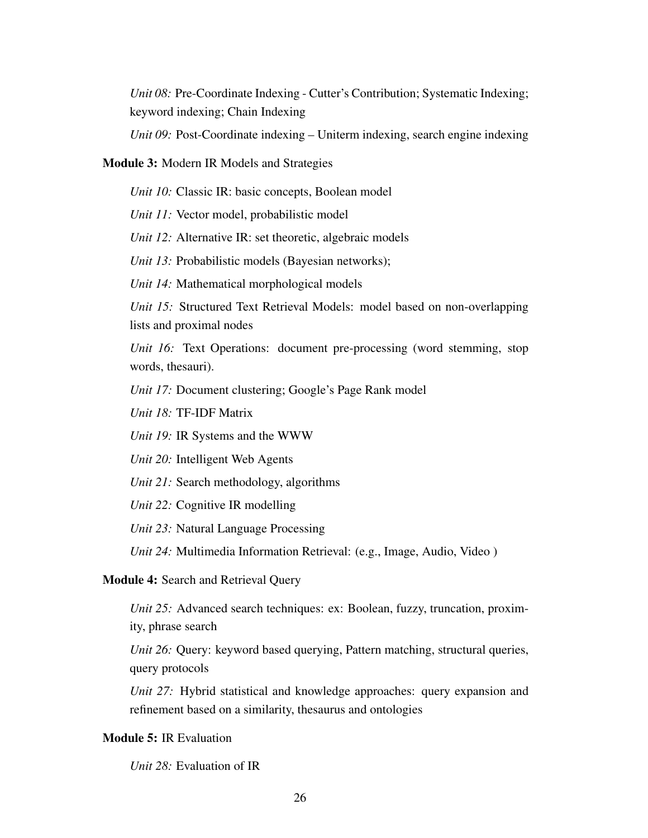*Unit 08:* Pre-Coordinate Indexing - Cutter's Contribution; Systematic Indexing; keyword indexing; Chain Indexing

*Unit 09:* Post-Coordinate indexing – Uniterm indexing, search engine indexing

## Module 3: Modern IR Models and Strategies

*Unit 10:* Classic IR: basic concepts, Boolean model

*Unit 11:* Vector model, probabilistic model

*Unit 12:* Alternative IR: set theoretic, algebraic models

*Unit 13:* Probabilistic models (Bayesian networks);

*Unit 14:* Mathematical morphological models

*Unit 15:* Structured Text Retrieval Models: model based on non-overlapping lists and proximal nodes

*Unit 16:* Text Operations: document pre-processing (word stemming, stop words, thesauri).

*Unit 17:* Document clustering; Google's Page Rank model

*Unit 18:* TF-IDF Matrix

*Unit 19:* IR Systems and the WWW

*Unit 20:* Intelligent Web Agents

*Unit 21:* Search methodology, algorithms

*Unit 22:* Cognitive IR modelling

*Unit 23:* Natural Language Processing

*Unit 24:* Multimedia Information Retrieval: (e.g., Image, Audio, Video )

Module 4: Search and Retrieval Query

*Unit 25:* Advanced search techniques: ex: Boolean, fuzzy, truncation, proximity, phrase search

*Unit 26:* Query: keyword based querying, Pattern matching, structural queries, query protocols

*Unit 27:* Hybrid statistical and knowledge approaches: query expansion and refinement based on a similarity, thesaurus and ontologies

#### Module 5: IR Evaluation

*Unit 28:* Evaluation of IR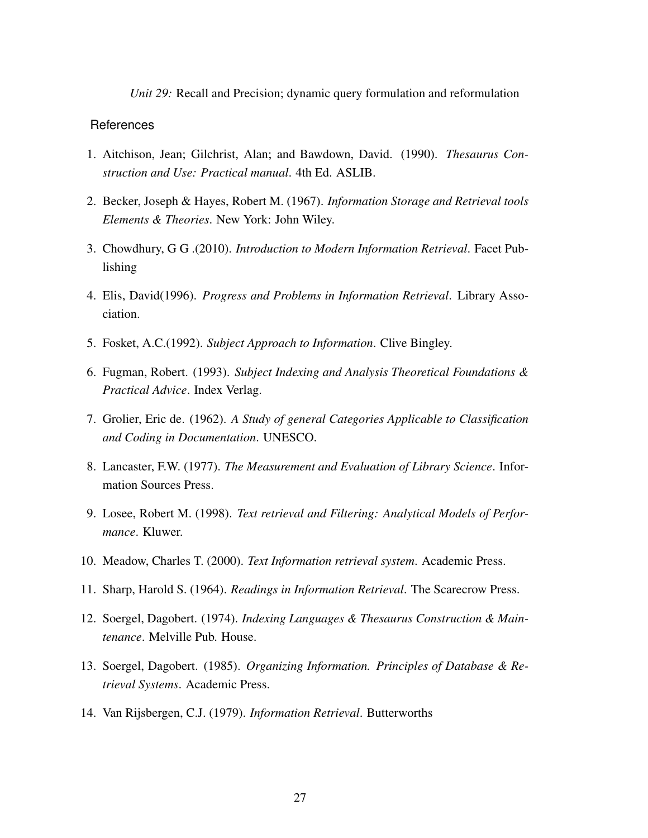*Unit 29:* Recall and Precision; dynamic query formulation and reformulation

- 1. Aitchison, Jean; Gilchrist, Alan; and Bawdown, David. (1990). *Thesaurus Construction and Use: Practical manual*. 4th Ed. ASLIB.
- 2. Becker, Joseph & Hayes, Robert M. (1967). *Information Storage and Retrieval tools Elements & Theories*. New York: John Wiley.
- 3. Chowdhury, G G .(2010). *Introduction to Modern Information Retrieval*. Facet Publishing
- 4. Elis, David(1996). *Progress and Problems in Information Retrieval*. Library Association.
- 5. Fosket, A.C.(1992). *Subject Approach to Information*. Clive Bingley.
- 6. Fugman, Robert. (1993). *Subject Indexing and Analysis Theoretical Foundations & Practical Advice*. Index Verlag.
- 7. Grolier, Eric de. (1962). *A Study of general Categories Applicable to Classification and Coding in Documentation*. UNESCO.
- 8. Lancaster, F.W. (1977). *The Measurement and Evaluation of Library Science*. Information Sources Press.
- 9. Losee, Robert M. (1998). *Text retrieval and Filtering: Analytical Models of Performance*. Kluwer.
- 10. Meadow, Charles T. (2000). *Text Information retrieval system*. Academic Press.
- 11. Sharp, Harold S. (1964). *Readings in Information Retrieval*. The Scarecrow Press.
- 12. Soergel, Dagobert. (1974). *Indexing Languages & Thesaurus Construction & Maintenance*. Melville Pub. House.
- 13. Soergel, Dagobert. (1985). *Organizing Information. Principles of Database & Retrieval Systems*. Academic Press.
- 14. Van Rijsbergen, C.J. (1979). *Information Retrieval*. Butterworths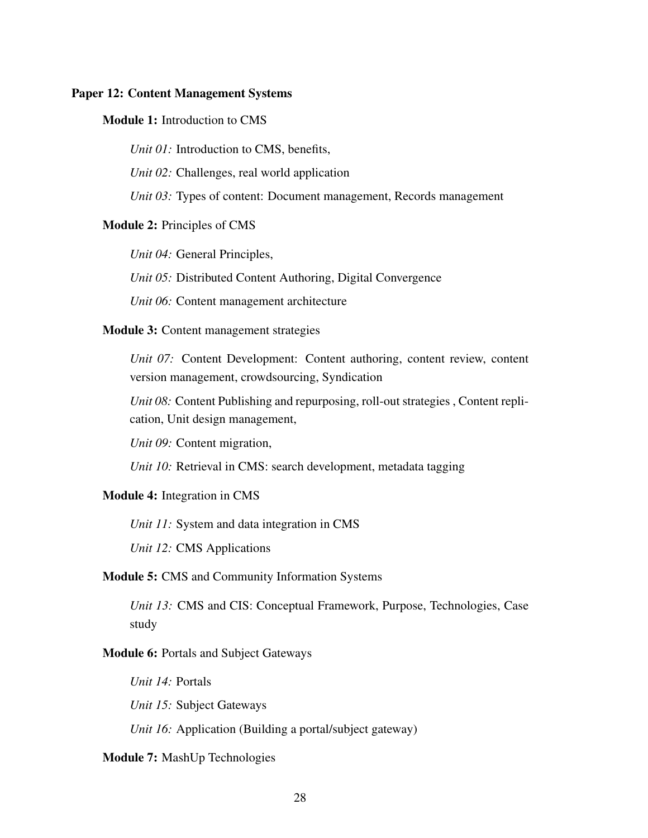#### <span id="page-31-0"></span>Paper 12: Content Management Systems

#### Module 1: Introduction to CMS

*Unit 01:* Introduction to CMS, benefits,

*Unit 02:* Challenges, real world application

*Unit 03:* Types of content: Document management, Records management

#### Module 2: Principles of CMS

*Unit 04:* General Principles,

*Unit 05:* Distributed Content Authoring, Digital Convergence

*Unit 06:* Content management architecture

#### Module 3: Content management strategies

*Unit 07:* Content Development: Content authoring, content review, content version management, crowdsourcing, Syndication

*Unit 08:* Content Publishing and repurposing, roll-out strategies , Content replication, Unit design management,

*Unit 09:* Content migration,

*Unit 10:* Retrieval in CMS: search development, metadata tagging

#### Module 4: Integration in CMS

*Unit 11:* System and data integration in CMS

*Unit 12:* CMS Applications

### Module 5: CMS and Community Information Systems

*Unit 13:* CMS and CIS: Conceptual Framework, Purpose, Technologies, Case study

#### Module 6: Portals and Subject Gateways

*Unit 14:* Portals

*Unit 15:* Subject Gateways

*Unit 16:* Application (Building a portal/subject gateway)

## Module 7: MashUp Technologies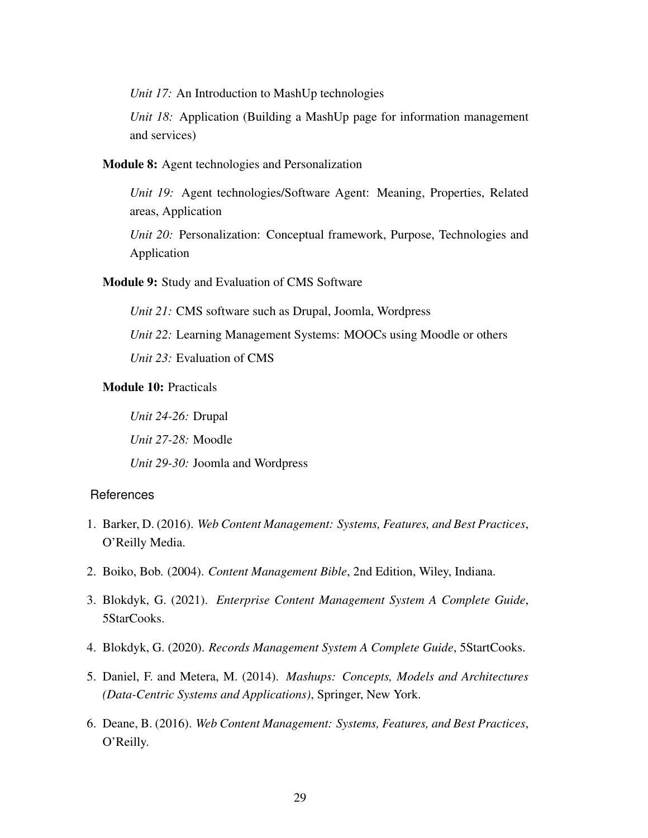*Unit 17:* An Introduction to MashUp technologies

*Unit 18:* Application (Building a MashUp page for information management and services)

Module 8: Agent technologies and Personalization

*Unit 19:* Agent technologies/Software Agent: Meaning, Properties, Related areas, Application

*Unit 20:* Personalization: Conceptual framework, Purpose, Technologies and Application

#### Module 9: Study and Evaluation of CMS Software

*Unit 21:* CMS software such as Drupal, Joomla, Wordpress

*Unit 22:* Learning Management Systems: MOOCs using Moodle or others

*Unit 23:* Evaluation of CMS

# Module 10: Practicals

*Unit 24-26:* Drupal *Unit 27-28:* Moodle *Unit 29-30:* Joomla and Wordpress

- 1. Barker, D. (2016). *Web Content Management: Systems, Features, and Best Practices*, O'Reilly Media.
- 2. Boiko, Bob. (2004). *Content Management Bible*, 2nd Edition, Wiley, Indiana.
- 3. Blokdyk, G. (2021). *Enterprise Content Management System A Complete Guide*, 5StarCooks.
- 4. Blokdyk, G. (2020). *Records Management System A Complete Guide*, 5StartCooks.
- 5. Daniel, F. and Metera, M. (2014). *Mashups: Concepts, Models and Architectures (Data-Centric Systems and Applications)*, Springer, New York.
- 6. Deane, B. (2016). *Web Content Management: Systems, Features, and Best Practices*, O'Reilly.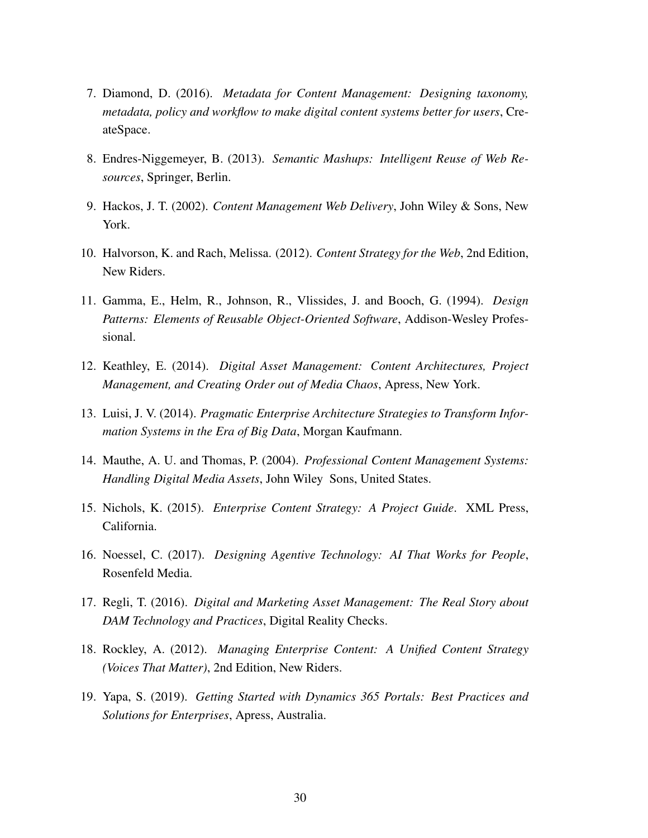- 7. Diamond, D. (2016). *Metadata for Content Management: Designing taxonomy, metadata, policy and workflow to make digital content systems better for users*, CreateSpace.
- 8. Endres-Niggemeyer, B. (2013). *Semantic Mashups: Intelligent Reuse of Web Resources*, Springer, Berlin.
- 9. Hackos, J. T. (2002). *Content Management Web Delivery*, John Wiley & Sons, New York.
- 10. Halvorson, K. and Rach, Melissa. (2012). *Content Strategy for the Web*, 2nd Edition, New Riders.
- 11. Gamma, E., Helm, R., Johnson, R., Vlissides, J. and Booch, G. (1994). *Design Patterns: Elements of Reusable Object-Oriented Software*, Addison-Wesley Professional.
- 12. Keathley, E. (2014). *Digital Asset Management: Content Architectures, Project Management, and Creating Order out of Media Chaos*, Apress, New York.
- 13. Luisi, J. V. (2014). *Pragmatic Enterprise Architecture Strategies to Transform Information Systems in the Era of Big Data*, Morgan Kaufmann.
- 14. Mauthe, A. U. and Thomas, P. (2004). *Professional Content Management Systems: Handling Digital Media Assets*, John Wiley Sons, United States.
- 15. Nichols, K. (2015). *Enterprise Content Strategy: A Project Guide*. XML Press, California.
- 16. Noessel, C. (2017). *Designing Agentive Technology: AI That Works for People*, Rosenfeld Media.
- 17. Regli, T. (2016). *Digital and Marketing Asset Management: The Real Story about DAM Technology and Practices*, Digital Reality Checks.
- 18. Rockley, A. (2012). *Managing Enterprise Content: A Unified Content Strategy (Voices That Matter)*, 2nd Edition, New Riders.
- 19. Yapa, S. (2019). *Getting Started with Dynamics 365 Portals: Best Practices and Solutions for Enterprises*, Apress, Australia.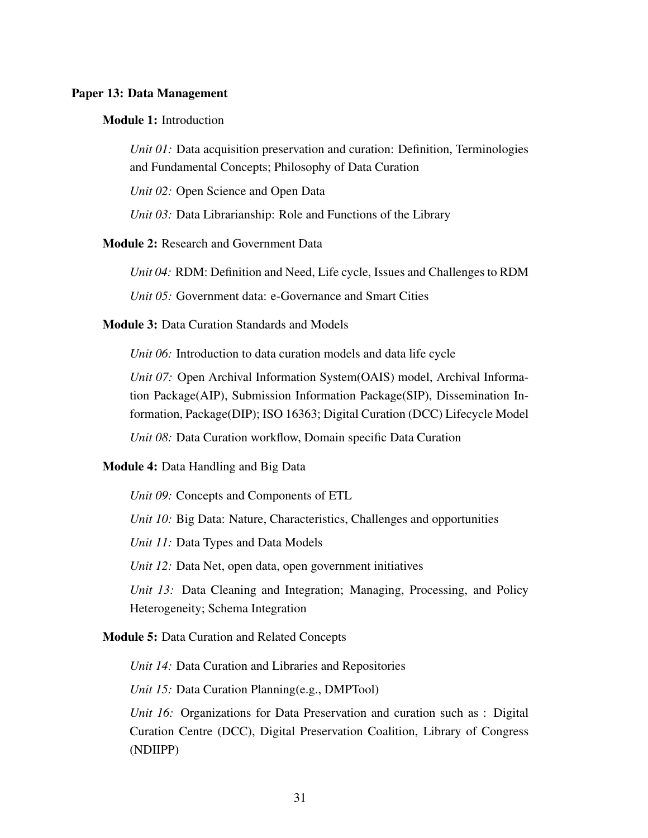#### <span id="page-34-0"></span>Paper 13: Data Management

#### Module 1: Introduction

*Unit 01:* Data acquisition preservation and curation: Definition, Terminologies and Fundamental Concepts; Philosophy of Data Curation

*Unit 02:* Open Science and Open Data

*Unit 03:* Data Librarianship: Role and Functions of the Library

#### Module 2: Research and Government Data

*Unit 04:* RDM: Definition and Need, Life cycle, Issues and Challenges to RDM

*Unit 05:* Government data: e-Governance and Smart Cities

## Module 3: Data Curation Standards and Models

*Unit 06:* Introduction to data curation models and data life cycle

*Unit 07:* Open Archival Information System(OAIS) model, Archival Information Package(AIP), Submission Information Package(SIP), Dissemination Information, Package(DIP); ISO 16363; Digital Curation (DCC) Lifecycle Model

*Unit 08:* Data Curation workflow, Domain specific Data Curation

#### Module 4: Data Handling and Big Data

*Unit 09:* Concepts and Components of ETL *Unit 10:* Big Data: Nature, Characteristics, Challenges and opportunities *Unit 11:* Data Types and Data Models *Unit 12:* Data Net, open data, open government initiatives *Unit 13:* Data Cleaning and Integration; Managing, Processing, and Policy Heterogeneity; Schema Integration

#### Module 5: Data Curation and Related Concepts

*Unit 14:* Data Curation and Libraries and Repositories

*Unit 15:* Data Curation Planning(e.g., DMPTool)

*Unit 16:* Organizations for Data Preservation and curation such as : Digital Curation Centre (DCC), Digital Preservation Coalition, Library of Congress (NDIIPP)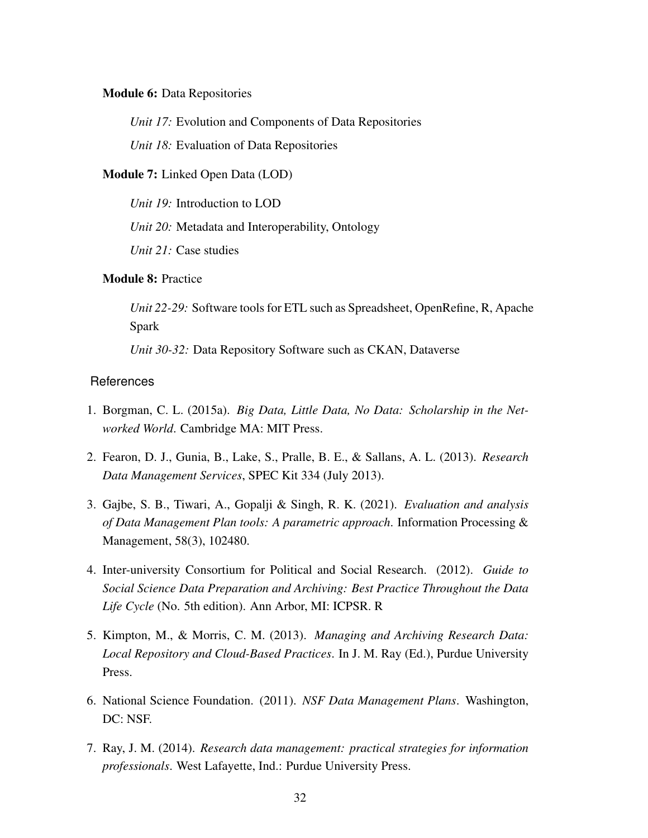#### Module 6: Data Repositories

*Unit 17:* Evolution and Components of Data Repositories

*Unit 18:* Evaluation of Data Repositories

## Module 7: Linked Open Data (LOD)

*Unit 19:* Introduction to LOD

*Unit 20:* Metadata and Interoperability, Ontology

*Unit 21:* Case studies

# Module 8: Practice

*Unit 22-29:* Software tools for ETL such as Spreadsheet, OpenRefine, R, Apache Spark

*Unit 30-32:* Data Repository Software such as CKAN, Dataverse

- 1. Borgman, C. L. (2015a). *Big Data, Little Data, No Data: Scholarship in the Networked World*. Cambridge MA: MIT Press.
- 2. Fearon, D. J., Gunia, B., Lake, S., Pralle, B. E., & Sallans, A. L. (2013). *Research Data Management Services*, SPEC Kit 334 (July 2013).
- 3. Gajbe, S. B., Tiwari, A., Gopalji & Singh, R. K. (2021). *Evaluation and analysis of Data Management Plan tools: A parametric approach*. Information Processing & Management, 58(3), 102480.
- 4. Inter-university Consortium for Political and Social Research. (2012). *Guide to Social Science Data Preparation and Archiving: Best Practice Throughout the Data Life Cycle* (No. 5th edition). Ann Arbor, MI: ICPSR. R
- 5. Kimpton, M., & Morris, C. M. (2013). *Managing and Archiving Research Data: Local Repository and Cloud-Based Practices*. In J. M. Ray (Ed.), Purdue University Press.
- 6. National Science Foundation. (2011). *NSF Data Management Plans*. Washington, DC: NSF.
- 7. Ray, J. M. (2014). *Research data management: practical strategies for information professionals*. West Lafayette, Ind.: Purdue University Press.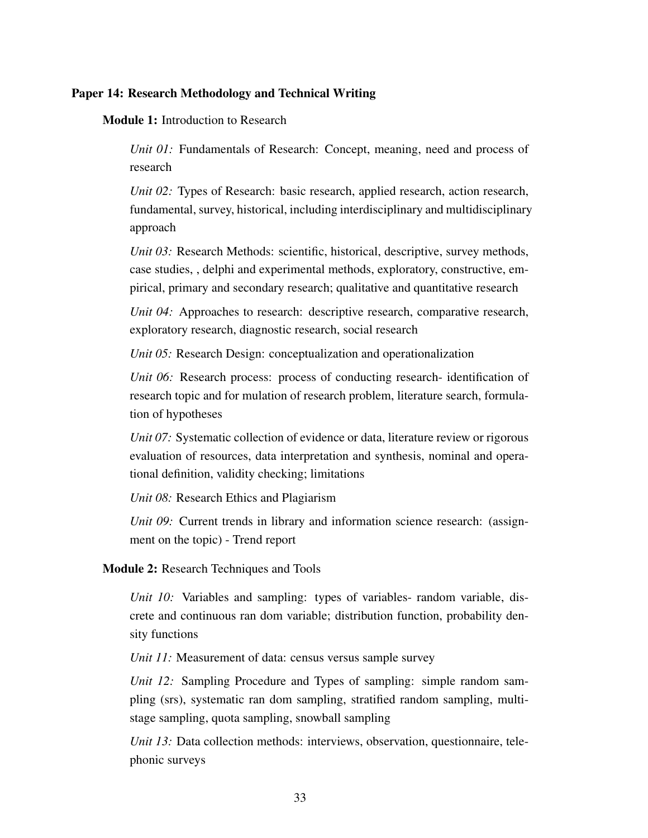### <span id="page-36-0"></span>Paper 14: Research Methodology and Technical Writing

#### Module 1: Introduction to Research

*Unit 01:* Fundamentals of Research: Concept, meaning, need and process of research

*Unit 02:* Types of Research: basic research, applied research, action research, fundamental, survey, historical, including interdisciplinary and multidisciplinary approach

*Unit 03:* Research Methods: scientific, historical, descriptive, survey methods, case studies, , delphi and experimental methods, exploratory, constructive, empirical, primary and secondary research; qualitative and quantitative research

*Unit 04:* Approaches to research: descriptive research, comparative research, exploratory research, diagnostic research, social research

*Unit 05:* Research Design: conceptualization and operationalization

*Unit 06:* Research process: process of conducting research- identification of research topic and for mulation of research problem, literature search, formulation of hypotheses

*Unit 07:* Systematic collection of evidence or data, literature review or rigorous evaluation of resources, data interpretation and synthesis, nominal and operational definition, validity checking; limitations

*Unit 08:* Research Ethics and Plagiarism

*Unit 09:* Current trends in library and information science research: (assignment on the topic) - Trend report

#### Module 2: Research Techniques and Tools

*Unit 10:* Variables and sampling: types of variables- random variable, discrete and continuous ran dom variable; distribution function, probability density functions

*Unit 11:* Measurement of data: census versus sample survey

*Unit 12:* Sampling Procedure and Types of sampling: simple random sampling (srs), systematic ran dom sampling, stratified random sampling, multistage sampling, quota sampling, snowball sampling

*Unit 13:* Data collection methods: interviews, observation, questionnaire, telephonic surveys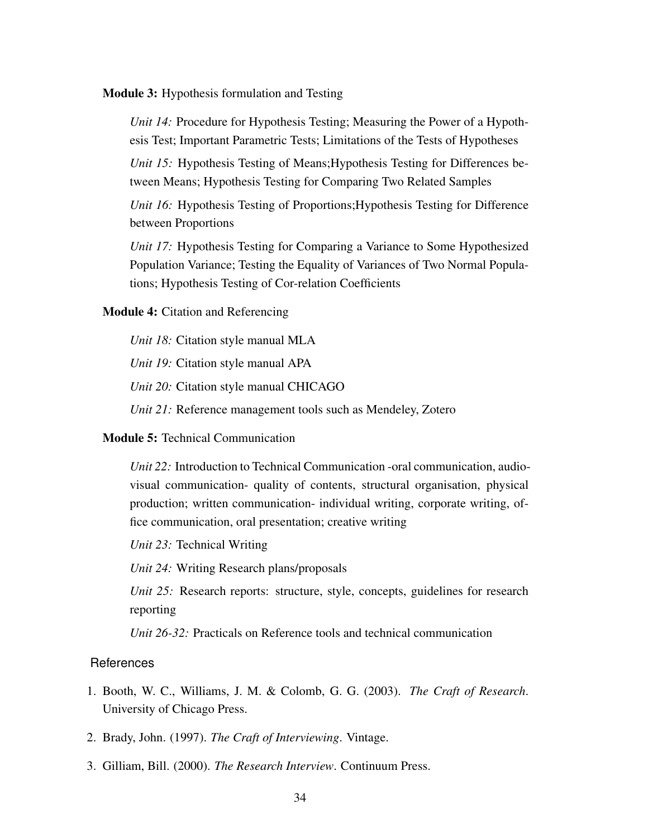Module 3: Hypothesis formulation and Testing

*Unit 14:* Procedure for Hypothesis Testing; Measuring the Power of a Hypothesis Test; Important Parametric Tests; Limitations of the Tests of Hypotheses

*Unit 15:* Hypothesis Testing of Means;Hypothesis Testing for Differences between Means; Hypothesis Testing for Comparing Two Related Samples

*Unit 16:* Hypothesis Testing of Proportions;Hypothesis Testing for Difference between Proportions

*Unit 17:* Hypothesis Testing for Comparing a Variance to Some Hypothesized Population Variance; Testing the Equality of Variances of Two Normal Populations; Hypothesis Testing of Cor-relation Coefficients

Module 4: Citation and Referencing

*Unit 18:* Citation style manual MLA

*Unit 19:* Citation style manual APA

*Unit 20:* Citation style manual CHICAGO

*Unit 21:* Reference management tools such as Mendeley, Zotero

#### Module 5: Technical Communication

*Unit 22:* Introduction to Technical Communication -oral communication, audiovisual communication- quality of contents, structural organisation, physical production; written communication- individual writing, corporate writing, office communication, oral presentation; creative writing

*Unit 23:* Technical Writing

*Unit 24:* Writing Research plans/proposals

*Unit 25:* Research reports: structure, style, concepts, guidelines for research reporting

*Unit 26-32:* Practicals on Reference tools and technical communication

- 1. Booth, W. C., Williams, J. M. & Colomb, G. G. (2003). *The Craft of Research*. University of Chicago Press.
- 2. Brady, John. (1997). *The Craft of Interviewing*. Vintage.
- 3. Gilliam, Bill. (2000). *The Research Interview*. Continuum Press.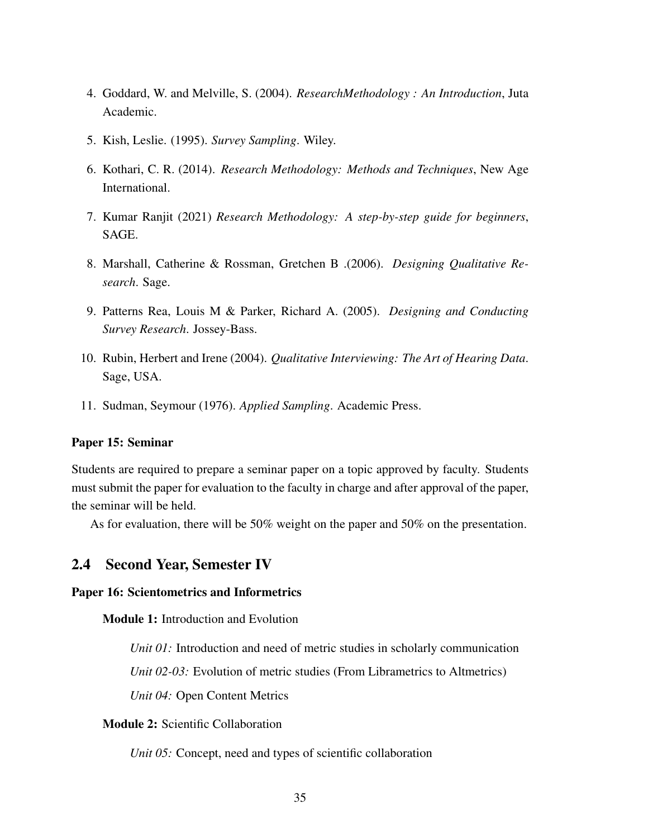- 4. Goddard, W. and Melville, S. (2004). *ResearchMethodology : An Introduction*, Juta Academic.
- 5. Kish, Leslie. (1995). *Survey Sampling*. Wiley.
- 6. Kothari, C. R. (2014). *Research Methodology: Methods and Techniques*, New Age International.
- 7. Kumar Ranjit (2021) *Research Methodology: A step-by-step guide for beginners*, SAGE.
- 8. Marshall, Catherine & Rossman, Gretchen B .(2006). *Designing Qualitative Research*. Sage.
- 9. Patterns Rea, Louis M & Parker, Richard A. (2005). *Designing and Conducting Survey Research*. Jossey-Bass.
- 10. Rubin, Herbert and Irene (2004). *Qualitative Interviewing: The Art of Hearing Data*. Sage, USA.
- 11. Sudman, Seymour (1976). *Applied Sampling*. Academic Press.

## <span id="page-38-1"></span>Paper 15: Seminar

Students are required to prepare a seminar paper on a topic approved by faculty. Students must submit the paper for evaluation to the faculty in charge and after approval of the paper, the seminar will be held.

As for evaluation, there will be 50% weight on the paper and 50% on the presentation.

# <span id="page-38-0"></span>2.4 Second Year, Semester IV

#### <span id="page-38-2"></span>Paper 16: Scientometrics and Informetrics

Module 1: Introduction and Evolution

*Unit 01:* Introduction and need of metric studies in scholarly communication

*Unit 02-03:* Evolution of metric studies (From Librametrics to Altmetrics)

*Unit 04:* Open Content Metrics

## Module 2: Scientific Collaboration

*Unit 05:* Concept, need and types of scientific collaboration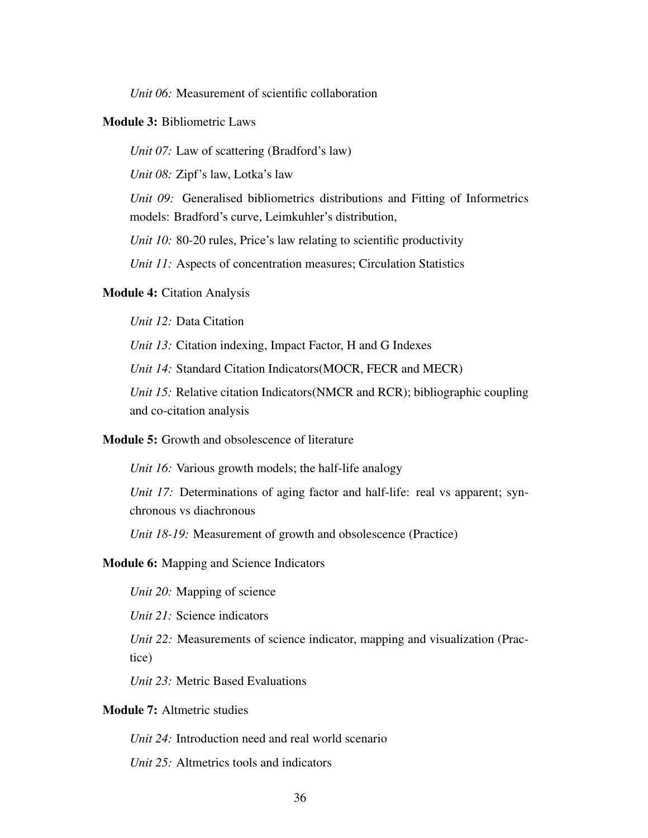*Unit 06:* Measurement of scientific collaboration

## Module 3: Bibliometric Laws

*Unit 07:* Law of scattering (Bradford's law)

*Unit 08:* Zipf's law, Lotka's law

*Unit 09:* Generalised bibliometrics distributions and Fitting of Informetrics models: Bradford's curve, Leimkuhler's distribution,

*Unit 10:* 80-20 rules, Price's law relating to scientific productivity

*Unit 11:* Aspects of concentration measures; Circulation Statistics

#### Module 4: Citation Analysis

*Unit 12:* Data Citation

*Unit 13:* Citation indexing, Impact Factor, H and G Indexes

*Unit 14:* Standard Citation Indicators(MOCR, FECR and MECR)

*Unit 15:* Relative citation Indicators(NMCR and RCR); bibliographic coupling and co-citation analysis

## Module 5: Growth and obsolescence of literature

*Unit 16:* Various growth models; the half-life analogy

*Unit 17:* Determinations of aging factor and half-life: real vs apparent; synchronous vs diachronous

*Unit 18-19:* Measurement of growth and obsolescence (Practice)

#### Module 6: Mapping and Science Indicators

*Unit 20:* Mapping of science

*Unit 21:* Science indicators

*Unit 22:* Measurements of science indicator, mapping and visualization (Practice)

*Unit 23:* Metric Based Evaluations

# Module 7: Altmetric studies

*Unit 24:* Introduction need and real world scenario

*Unit 25:* Altmetrics tools and indicators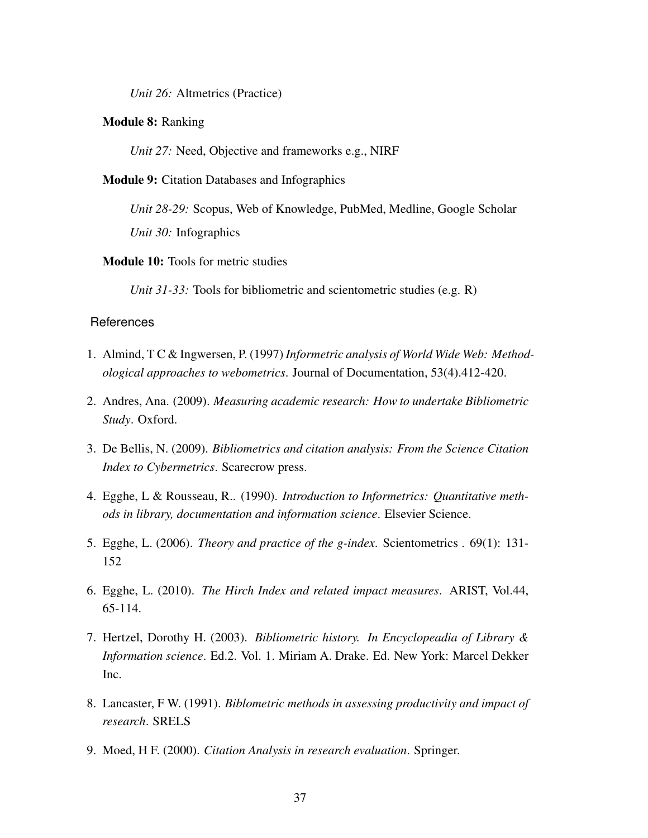*Unit 26:* Altmetrics (Practice)

#### Module 8: Ranking

*Unit 27:* Need, Objective and frameworks e.g., NIRF

#### Module 9: Citation Databases and Infographics

*Unit 28-29:* Scopus, Web of Knowledge, PubMed, Medline, Google Scholar *Unit 30:* Infographics

#### Module 10: Tools for metric studies

*Unit 31-33:* Tools for bibliometric and scientometric studies (e.g. R)

- 1. Almind, T C & Ingwersen, P. (1997) *Informetric analysis of World Wide Web: Methodological approaches to webometrics*. Journal of Documentation, 53(4).412-420.
- 2. Andres, Ana. (2009). *Measuring academic research: How to undertake Bibliometric Study*. Oxford.
- 3. De Bellis, N. (2009). *Bibliometrics and citation analysis: From the Science Citation Index to Cybermetrics*. Scarecrow press.
- 4. Egghe, L & Rousseau, R.. (1990). *Introduction to Informetrics: Quantitative methods in library, documentation and information science*. Elsevier Science.
- 5. Egghe, L. (2006). *Theory and practice of the g-index*. Scientometrics . 69(1): 131- 152
- 6. Egghe, L. (2010). *The Hirch Index and related impact measures*. ARIST, Vol.44, 65-114.
- 7. Hertzel, Dorothy H. (2003). *Bibliometric history. In Encyclopeadia of Library & Information science*. Ed.2. Vol. 1. Miriam A. Drake. Ed. New York: Marcel Dekker Inc.
- 8. Lancaster, F W. (1991). *Biblometric methods in assessing productivity and impact of research*. SRELS
- 9. Moed, H F. (2000). *Citation Analysis in research evaluation*. Springer.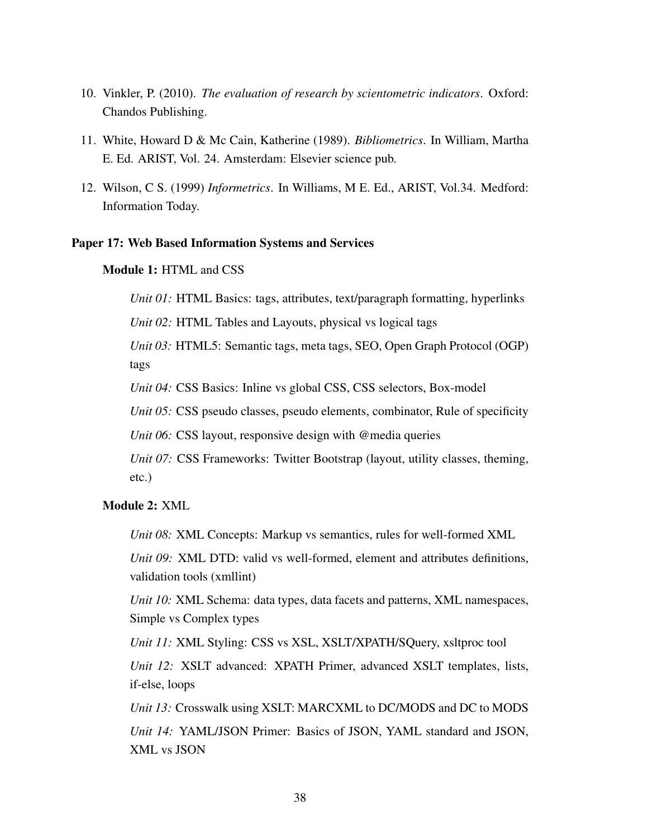- 10. Vinkler, P. (2010). *The evaluation of research by scientometric indicators*. Oxford: Chandos Publishing.
- 11. White, Howard D & Mc Cain, Katherine (1989). *Bibliometrics*. In William, Martha E. Ed. ARIST, Vol. 24. Amsterdam: Elsevier science pub.
- 12. Wilson, C S. (1999) *Informetrics*. In Williams, M E. Ed., ARIST, Vol.34. Medford: Information Today.

#### <span id="page-41-0"></span>Paper 17: Web Based Information Systems and Services

## Module 1: HTML and CSS

*Unit 01:* HTML Basics: tags, attributes, text/paragraph formatting, hyperlinks

*Unit 02:* HTML Tables and Layouts, physical vs logical tags

*Unit 03:* HTML5: Semantic tags, meta tags, SEO, Open Graph Protocol (OGP) tags

*Unit 04:* CSS Basics: Inline vs global CSS, CSS selectors, Box-model

*Unit 05:* CSS pseudo classes, pseudo elements, combinator, Rule of specificity

*Unit 06:* CSS layout, responsive design with @media queries

*Unit 07:* CSS Frameworks: Twitter Bootstrap (layout, utility classes, theming, etc.)

# Module 2: XML

*Unit 08:* XML Concepts: Markup vs semantics, rules for well-formed XML

*Unit 09:* XML DTD: valid vs well-formed, element and attributes definitions, validation tools (xmllint)

*Unit 10:* XML Schema: data types, data facets and patterns, XML namespaces, Simple vs Complex types

*Unit 11:* XML Styling: CSS vs XSL, XSLT/XPATH/SQuery, xsltproc tool

*Unit 12:* XSLT advanced: XPATH Primer, advanced XSLT templates, lists, if-else, loops

*Unit 13:* Crosswalk using XSLT: MARCXML to DC/MODS and DC to MODS

*Unit 14:* YAML/JSON Primer: Basics of JSON, YAML standard and JSON, XML vs JSON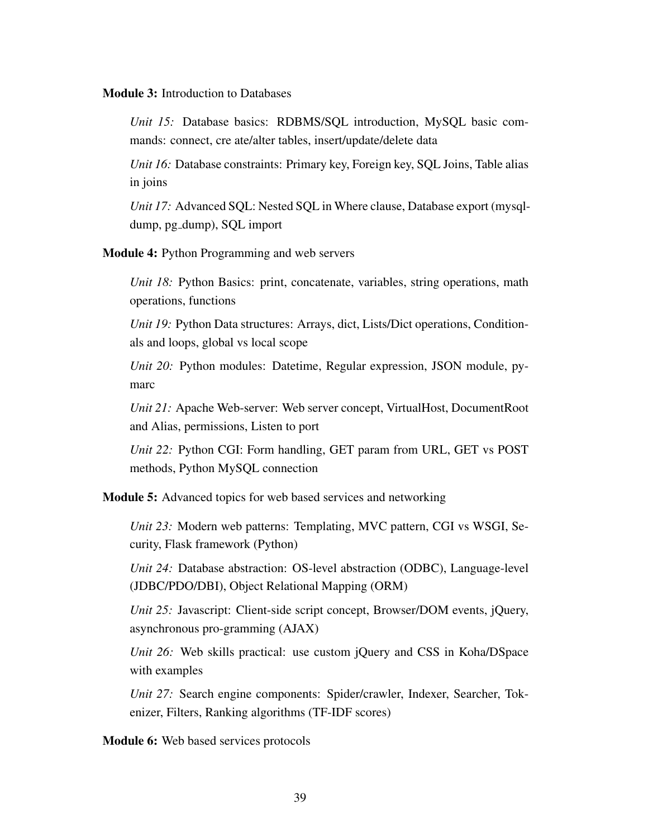#### Module 3: Introduction to Databases

*Unit 15:* Database basics: RDBMS/SQL introduction, MySQL basic commands: connect, cre ate/alter tables, insert/update/delete data

*Unit 16:* Database constraints: Primary key, Foreign key, SQL Joins, Table alias in joins

*Unit 17:* Advanced SQL: Nested SQL in Where clause, Database export (mysqldump, pg dump), SQL import

Module 4: Python Programming and web servers

*Unit 18:* Python Basics: print, concatenate, variables, string operations, math operations, functions

*Unit 19:* Python Data structures: Arrays, dict, Lists/Dict operations, Conditionals and loops, global vs local scope

*Unit 20:* Python modules: Datetime, Regular expression, JSON module, pymarc

*Unit 21:* Apache Web-server: Web server concept, VirtualHost, DocumentRoot and Alias, permissions, Listen to port

*Unit 22:* Python CGI: Form handling, GET param from URL, GET vs POST methods, Python MySQL connection

Module 5: Advanced topics for web based services and networking

*Unit 23:* Modern web patterns: Templating, MVC pattern, CGI vs WSGI, Security, Flask framework (Python)

*Unit 24:* Database abstraction: OS-level abstraction (ODBC), Language-level (JDBC/PDO/DBI), Object Relational Mapping (ORM)

*Unit 25:* Javascript: Client-side script concept, Browser/DOM events, jQuery, asynchronous pro-gramming (AJAX)

*Unit 26:* Web skills practical: use custom jQuery and CSS in Koha/DSpace with examples

*Unit 27:* Search engine components: Spider/crawler, Indexer, Searcher, Tokenizer, Filters, Ranking algorithms (TF-IDF scores)

Module 6: Web based services protocols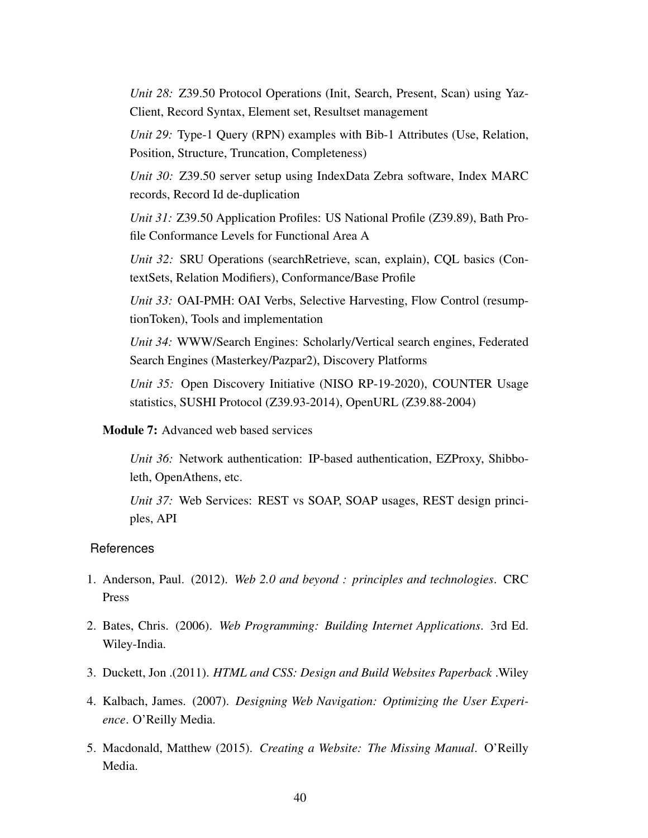*Unit 28:* Z39.50 Protocol Operations (Init, Search, Present, Scan) using Yaz-Client, Record Syntax, Element set, Resultset management

*Unit 29:* Type-1 Query (RPN) examples with Bib-1 Attributes (Use, Relation, Position, Structure, Truncation, Completeness)

*Unit 30:* Z39.50 server setup using IndexData Zebra software, Index MARC records, Record Id de-duplication

*Unit 31:* Z39.50 Application Profiles: US National Profile (Z39.89), Bath Profile Conformance Levels for Functional Area A

*Unit 32:* SRU Operations (searchRetrieve, scan, explain), CQL basics (ContextSets, Relation Modifiers), Conformance/Base Profile

*Unit 33:* OAI-PMH: OAI Verbs, Selective Harvesting, Flow Control (resumptionToken), Tools and implementation

*Unit 34:* WWW/Search Engines: Scholarly/Vertical search engines, Federated Search Engines (Masterkey/Pazpar2), Discovery Platforms

*Unit 35:* Open Discovery Initiative (NISO RP-19-2020), COUNTER Usage statistics, SUSHI Protocol (Z39.93-2014), OpenURL (Z39.88-2004)

## Module 7: Advanced web based services

*Unit 36:* Network authentication: IP-based authentication, EZProxy, Shibboleth, OpenAthens, etc.

*Unit 37:* Web Services: REST vs SOAP, SOAP usages, REST design principles, API

- 1. Anderson, Paul. (2012). *Web 2.0 and beyond : principles and technologies*. CRC Press
- 2. Bates, Chris. (2006). *Web Programming: Building Internet Applications*. 3rd Ed. Wiley-India.
- 3. Duckett, Jon .(2011). *HTML and CSS: Design and Build Websites Paperback* .Wiley
- 4. Kalbach, James. (2007). *Designing Web Navigation: Optimizing the User Experience*. O'Reilly Media.
- 5. Macdonald, Matthew (2015). *Creating a Website: The Missing Manual*. O'Reilly Media.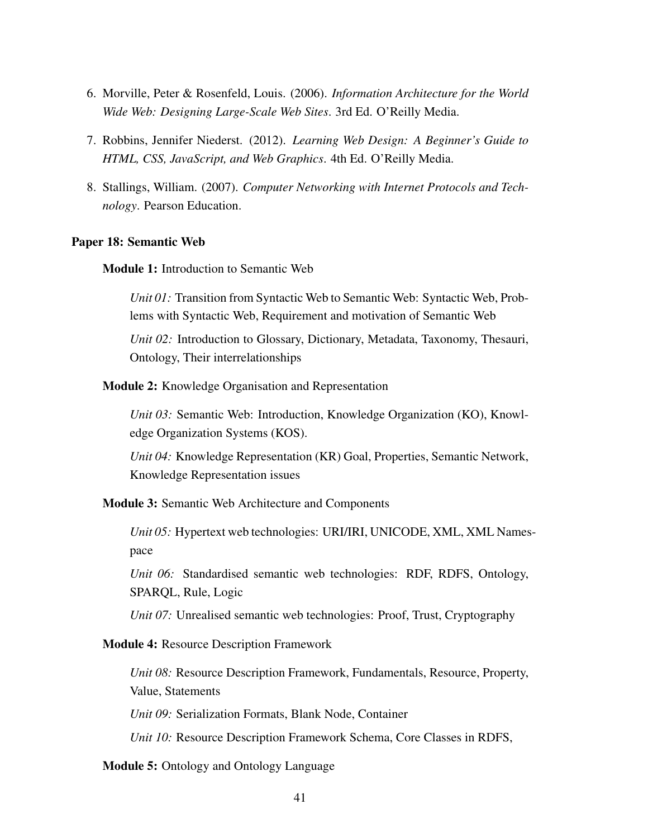- 6. Morville, Peter & Rosenfeld, Louis. (2006). *Information Architecture for the World Wide Web: Designing Large-Scale Web Sites*. 3rd Ed. O'Reilly Media.
- 7. Robbins, Jennifer Niederst. (2012). *Learning Web Design: A Beginner's Guide to HTML, CSS, JavaScript, and Web Graphics*. 4th Ed. O'Reilly Media.
- 8. Stallings, William. (2007). *Computer Networking with Internet Protocols and Technology*. Pearson Education.

## <span id="page-44-0"></span>Paper 18: Semantic Web

Module 1: Introduction to Semantic Web

*Unit 01:* Transition from Syntactic Web to Semantic Web: Syntactic Web, Problems with Syntactic Web, Requirement and motivation of Semantic Web

*Unit 02:* Introduction to Glossary, Dictionary, Metadata, Taxonomy, Thesauri, Ontology, Their interrelationships

Module 2: Knowledge Organisation and Representation

*Unit 03:* Semantic Web: Introduction, Knowledge Organization (KO), Knowledge Organization Systems (KOS).

*Unit 04:* Knowledge Representation (KR) Goal, Properties, Semantic Network, Knowledge Representation issues

Module 3: Semantic Web Architecture and Components

*Unit 05:* Hypertext web technologies: URI/IRI, UNICODE, XML, XML Namespace

*Unit 06:* Standardised semantic web technologies: RDF, RDFS, Ontology, SPARQL, Rule, Logic

*Unit 07:* Unrealised semantic web technologies: Proof, Trust, Cryptography

#### Module 4: Resource Description Framework

*Unit 08:* Resource Description Framework, Fundamentals, Resource, Property, Value, Statements

*Unit 09:* Serialization Formats, Blank Node, Container

*Unit 10:* Resource Description Framework Schema, Core Classes in RDFS,

Module 5: Ontology and Ontology Language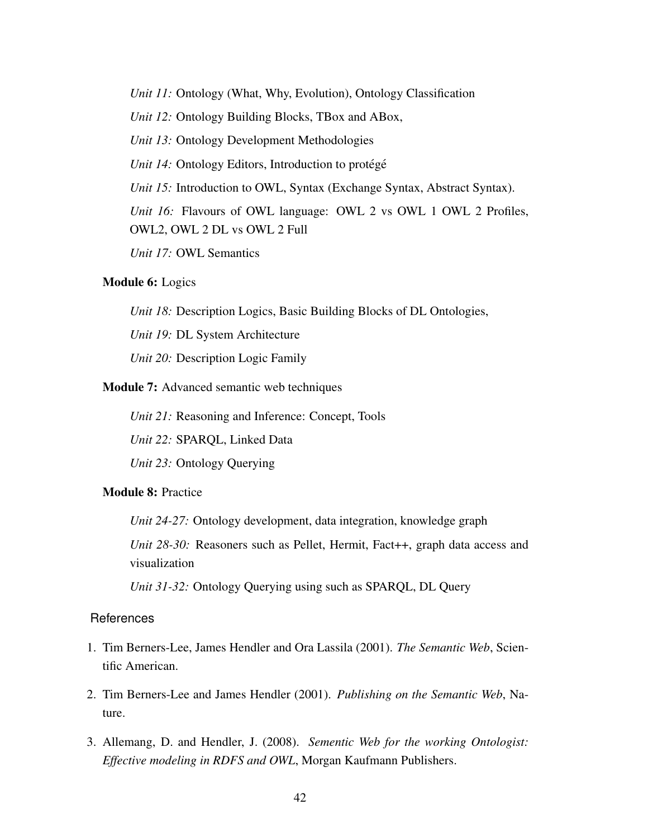*Unit 11:* Ontology (What, Why, Evolution), Ontology Classification *Unit 12:* Ontology Building Blocks, TBox and ABox, *Unit 13:* Ontology Development Methodologies *Unit 14:* Ontology Editors, Introduction to protégé *Unit 15:* Introduction to OWL, Syntax (Exchange Syntax, Abstract Syntax). *Unit 16:* Flavours of OWL language: OWL 2 vs OWL 1 OWL 2 Profiles, OWL2, OWL 2 DL vs OWL 2 Full *Unit 17:* OWL Semantics

#### Module 6: Logics

*Unit 18:* Description Logics, Basic Building Blocks of DL Ontologies,

*Unit 19:* DL System Architecture

*Unit 20:* Description Logic Family

Module 7: Advanced semantic web techniques

*Unit 21:* Reasoning and Inference: Concept, Tools

*Unit 22:* SPARQL, Linked Data

*Unit 23:* Ontology Querying

## Module 8: Practice

*Unit 24-27:* Ontology development, data integration, knowledge graph

*Unit 28-30:* Reasoners such as Pellet, Hermit, Fact++, graph data access and visualization

*Unit 31-32:* Ontology Querying using such as SPARQL, DL Query

- 1. Tim Berners-Lee, James Hendler and Ora Lassila (2001). *The Semantic Web*, Scientific American.
- 2. Tim Berners-Lee and James Hendler (2001). *Publishing on the Semantic Web*, Nature.
- 3. Allemang, D. and Hendler, J. (2008). *Sementic Web for the working Ontologist: Effective modeling in RDFS and OWL*, Morgan Kaufmann Publishers.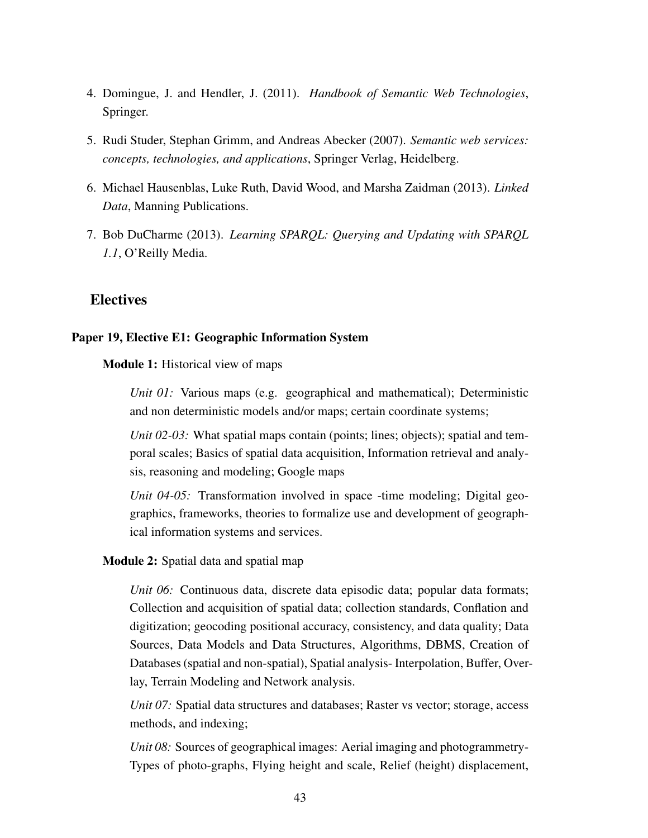- 4. Domingue, J. and Hendler, J. (2011). *Handbook of Semantic Web Technologies*, Springer.
- 5. Rudi Studer, Stephan Grimm, and Andreas Abecker (2007). *Semantic web services: concepts, technologies, and applications*, Springer Verlag, Heidelberg.
- 6. Michael Hausenblas, Luke Ruth, David Wood, and Marsha Zaidman (2013). *Linked Data*, Manning Publications.
- <span id="page-46-0"></span>7. Bob DuCharme (2013). *Learning SPARQL: Querying and Updating with SPARQL 1.1*, O'Reilly Media.

# **Electives**

## <span id="page-46-1"></span>Paper 19, Elective E1: Geographic Information System

Module 1: Historical view of maps

*Unit 01:* Various maps (e.g. geographical and mathematical); Deterministic and non deterministic models and/or maps; certain coordinate systems;

*Unit 02-03:* What spatial maps contain (points; lines; objects); spatial and temporal scales; Basics of spatial data acquisition, Information retrieval and analysis, reasoning and modeling; Google maps

*Unit 04-05:* Transformation involved in space -time modeling; Digital geographics, frameworks, theories to formalize use and development of geographical information systems and services.

#### Module 2: Spatial data and spatial map

*Unit 06:* Continuous data, discrete data episodic data; popular data formats; Collection and acquisition of spatial data; collection standards, Conflation and digitization; geocoding positional accuracy, consistency, and data quality; Data Sources, Data Models and Data Structures, Algorithms, DBMS, Creation of Databases (spatial and non-spatial), Spatial analysis- Interpolation, Buffer, Overlay, Terrain Modeling and Network analysis.

*Unit 07:* Spatial data structures and databases; Raster vs vector; storage, access methods, and indexing;

*Unit 08:* Sources of geographical images: Aerial imaging and photogrammetry-Types of photo-graphs, Flying height and scale, Relief (height) displacement,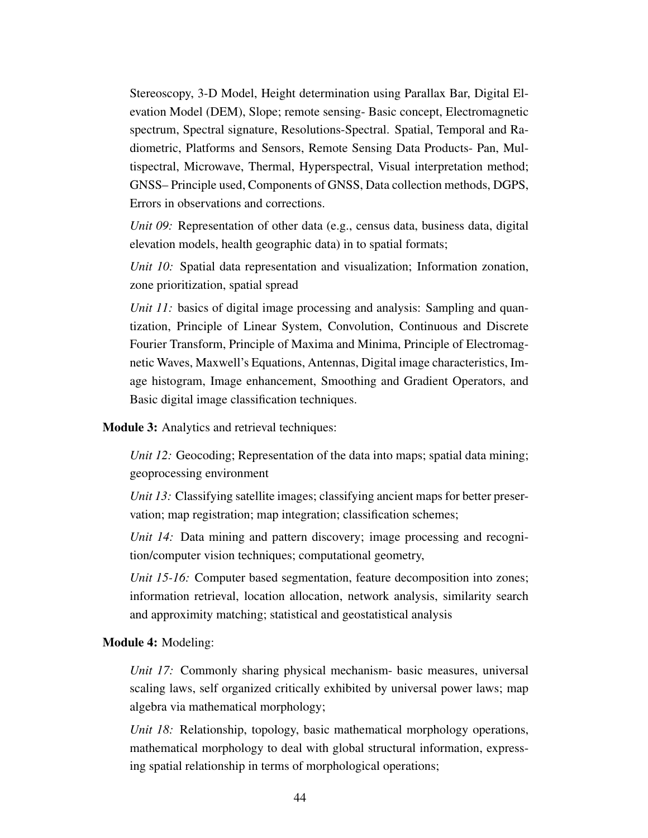Stereoscopy, 3-D Model, Height determination using Parallax Bar, Digital Elevation Model (DEM), Slope; remote sensing- Basic concept, Electromagnetic spectrum, Spectral signature, Resolutions-Spectral. Spatial, Temporal and Radiometric, Platforms and Sensors, Remote Sensing Data Products- Pan, Multispectral, Microwave, Thermal, Hyperspectral, Visual interpretation method; GNSS– Principle used, Components of GNSS, Data collection methods, DGPS, Errors in observations and corrections.

*Unit 09:* Representation of other data (e.g., census data, business data, digital elevation models, health geographic data) in to spatial formats;

*Unit 10:* Spatial data representation and visualization; Information zonation, zone prioritization, spatial spread

*Unit 11:* basics of digital image processing and analysis: Sampling and quantization, Principle of Linear System, Convolution, Continuous and Discrete Fourier Transform, Principle of Maxima and Minima, Principle of Electromagnetic Waves, Maxwell's Equations, Antennas, Digital image characteristics, Image histogram, Image enhancement, Smoothing and Gradient Operators, and Basic digital image classification techniques.

Module 3: Analytics and retrieval techniques:

*Unit 12:* Geocoding; Representation of the data into maps; spatial data mining; geoprocessing environment

*Unit 13:* Classifying satellite images; classifying ancient maps for better preservation; map registration; map integration; classification schemes;

*Unit 14:* Data mining and pattern discovery; image processing and recognition/computer vision techniques; computational geometry,

*Unit 15-16:* Computer based segmentation, feature decomposition into zones; information retrieval, location allocation, network analysis, similarity search and approximity matching; statistical and geostatistical analysis

#### Module 4: Modeling:

*Unit 17:* Commonly sharing physical mechanism- basic measures, universal scaling laws, self organized critically exhibited by universal power laws; map algebra via mathematical morphology;

*Unit 18:* Relationship, topology, basic mathematical morphology operations, mathematical morphology to deal with global structural information, expressing spatial relationship in terms of morphological operations;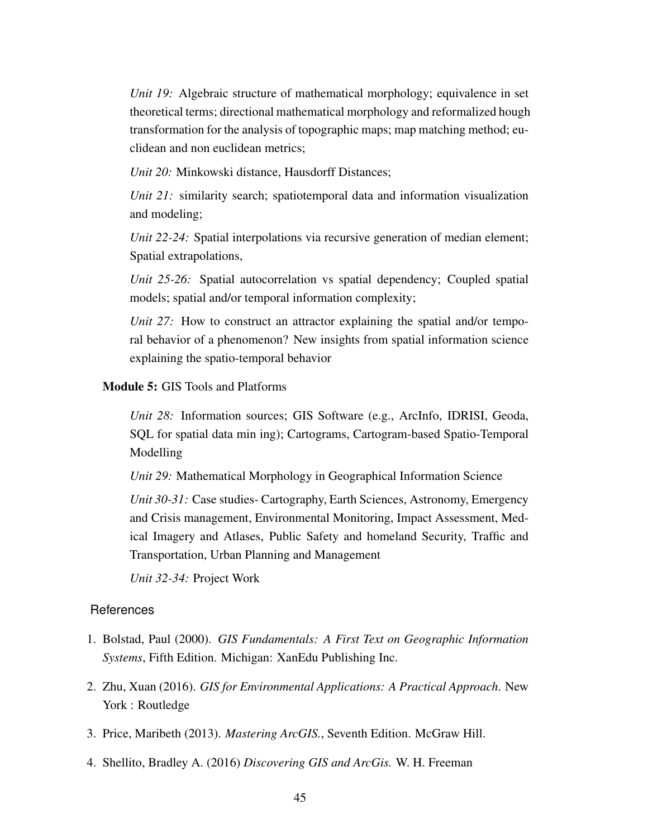*Unit 19:* Algebraic structure of mathematical morphology; equivalence in set theoretical terms; directional mathematical morphology and reformalized hough transformation for the analysis of topographic maps; map matching method; euclidean and non euclidean metrics;

*Unit 20:* Minkowski distance, Hausdorff Distances;

*Unit 21:* similarity search; spatiotemporal data and information visualization and modeling;

*Unit 22-24:* Spatial interpolations via recursive generation of median element; Spatial extrapolations,

*Unit 25-26:* Spatial autocorrelation vs spatial dependency; Coupled spatial models; spatial and/or temporal information complexity;

*Unit 27:* How to construct an attractor explaining the spatial and/or temporal behavior of a phenomenon? New insights from spatial information science explaining the spatio-temporal behavior

## Module 5: GIS Tools and Platforms

*Unit 28:* Information sources; GIS Software (e.g., ArcInfo, IDRISI, Geoda, SQL for spatial data min ing); Cartograms, Cartogram-based Spatio-Temporal Modelling

*Unit 29:* Mathematical Morphology in Geographical Information Science

*Unit 30-31:* Case studies- Cartography, Earth Sciences, Astronomy, Emergency and Crisis management, Environmental Monitoring, Impact Assessment, Medical Imagery and Atlases, Public Safety and homeland Security, Traffic and Transportation, Urban Planning and Management

*Unit 32-34:* Project Work

- 1. Bolstad, Paul (2000). *GIS Fundamentals: A First Text on Geographic Information Systems*, Fifth Edition. Michigan: XanEdu Publishing Inc.
- 2. Zhu, Xuan (2016). *GIS for Environmental Applications: A Practical Approach*. New York : Routledge
- 3. Price, Maribeth (2013). *Mastering ArcGIS.*, Seventh Edition. McGraw Hill.
- 4. Shellito, Bradley A. (2016) *Discovering GIS and ArcGis.* W. H. Freeman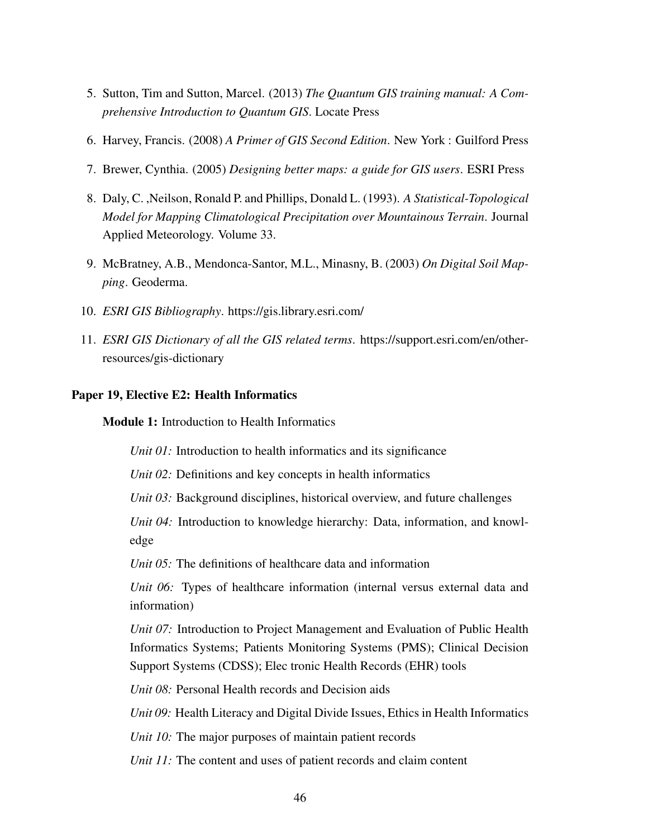- 5. Sutton, Tim and Sutton, Marcel. (2013) *The Quantum GIS training manual: A Comprehensive Introduction to Quantum GIS*. Locate Press
- 6. Harvey, Francis. (2008) *A Primer of GIS Second Edition*. New York : Guilford Press
- 7. Brewer, Cynthia. (2005) *Designing better maps: a guide for GIS users*. ESRI Press
- 8. Daly, C. ,Neilson, Ronald P. and Phillips, Donald L. (1993). *A Statistical-Topological Model for Mapping Climatological Precipitation over Mountainous Terrain*. Journal Applied Meteorology. Volume 33.
- 9. McBratney, A.B., Mendonca-Santor, M.L., Minasny, B. (2003) *On Digital Soil Mapping*. Geoderma.
- 10. *ESRI GIS Bibliography*. https://gis.library.esri.com/
- 11. *ESRI GIS Dictionary of all the GIS related terms*. https://support.esri.com/en/otherresources/gis-dictionary

## <span id="page-49-0"></span>Paper 19, Elective E2: Health Informatics

Module 1: Introduction to Health Informatics

*Unit 01:* Introduction to health informatics and its significance

*Unit 02:* Definitions and key concepts in health informatics

*Unit 03:* Background disciplines, historical overview, and future challenges

*Unit 04:* Introduction to knowledge hierarchy: Data, information, and knowledge

*Unit 05:* The definitions of healthcare data and information

*Unit 06:* Types of healthcare information (internal versus external data and information)

*Unit 07:* Introduction to Project Management and Evaluation of Public Health Informatics Systems; Patients Monitoring Systems (PMS); Clinical Decision Support Systems (CDSS); Elec tronic Health Records (EHR) tools

*Unit 08:* Personal Health records and Decision aids

*Unit 09:* Health Literacy and Digital Divide Issues, Ethics in Health Informatics

*Unit 10:* The major purposes of maintain patient records

*Unit 11:* The content and uses of patient records and claim content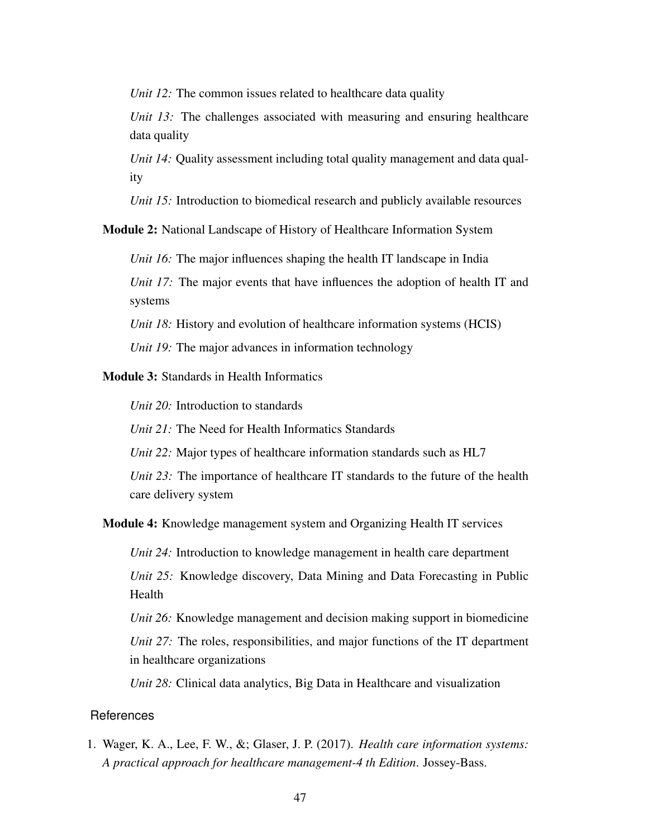*Unit 12:* The common issues related to healthcare data quality

*Unit 13:* The challenges associated with measuring and ensuring healthcare data quality

*Unit 14:* Ouality assessment including total quality management and data quality

*Unit 15:* Introduction to biomedical research and publicly available resources

Module 2: National Landscape of History of Healthcare Information System

*Unit 16:* The major influences shaping the health IT landscape in India

*Unit 17:* The major events that have influences the adoption of health IT and systems

*Unit 18:* History and evolution of healthcare information systems (HCIS)

*Unit 19:* The major advances in information technology

Module 3: Standards in Health Informatics

*Unit 20:* Introduction to standards

*Unit 21:* The Need for Health Informatics Standards

*Unit 22:* Major types of healthcare information standards such as HL7

*Unit 23:* The importance of healthcare IT standards to the future of the health care delivery system

Module 4: Knowledge management system and Organizing Health IT services

*Unit 24:* Introduction to knowledge management in health care department *Unit 25:* Knowledge discovery, Data Mining and Data Forecasting in Public Health

*Unit 26:* Knowledge management and decision making support in biomedicine *Unit 27:* The roles, responsibilities, and major functions of the IT department in healthcare organizations

*Unit 28:* Clinical data analytics, Big Data in Healthcare and visualization

#### References

1. Wager, K. A., Lee, F. W., &; Glaser, J. P. (2017). *Health care information systems: A practical approach for healthcare management-4 th Edition*. Jossey-Bass.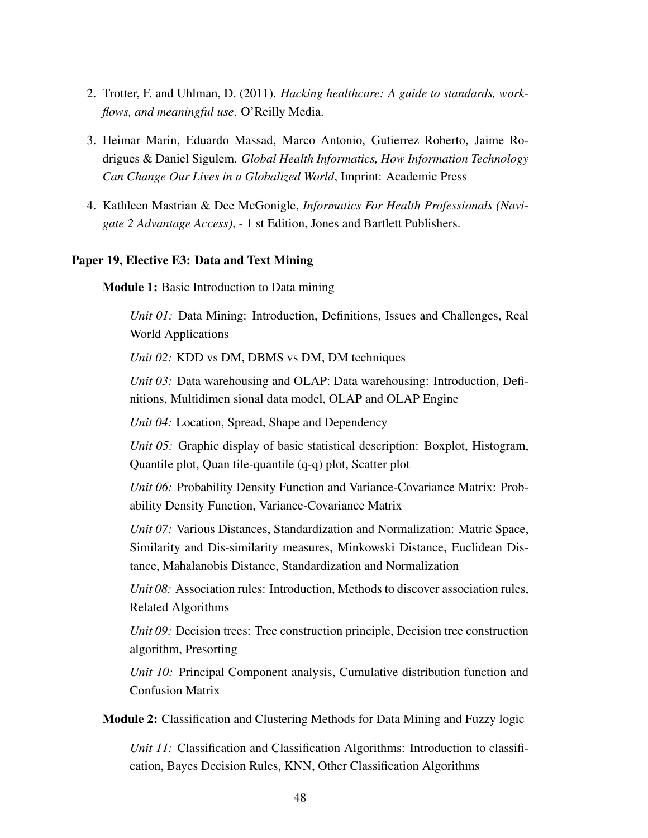- 2. Trotter, F. and Uhlman, D. (2011). *Hacking healthcare: A guide to standards, workflows, and meaningful use*. O'Reilly Media.
- 3. Heimar Marin, Eduardo Massad, Marco Antonio, Gutierrez Roberto, Jaime Rodrigues & Daniel Sigulem. *Global Health Informatics, How Information Technology Can Change Our Lives in a Globalized World*, Imprint: Academic Press
- 4. Kathleen Mastrian & Dee McGonigle, *Informatics For Health Professionals (Navigate 2 Advantage Access)*, - 1 st Edition, Jones and Bartlett Publishers.

#### <span id="page-51-0"></span>Paper 19, Elective E3: Data and Text Mining

Module 1: Basic Introduction to Data mining

*Unit 01:* Data Mining: Introduction, Definitions, Issues and Challenges, Real World Applications

*Unit 02:* KDD vs DM, DBMS vs DM, DM techniques

*Unit 03:* Data warehousing and OLAP: Data warehousing: Introduction, Definitions, Multidimen sional data model, OLAP and OLAP Engine

*Unit 04:* Location, Spread, Shape and Dependency

*Unit 05:* Graphic display of basic statistical description: Boxplot, Histogram, Quantile plot, Quan tile-quantile (q-q) plot, Scatter plot

*Unit 06:* Probability Density Function and Variance-Covariance Matrix: Probability Density Function, Variance-Covariance Matrix

*Unit 07:* Various Distances, Standardization and Normalization: Matric Space, Similarity and Dis-similarity measures, Minkowski Distance, Euclidean Distance, Mahalanobis Distance, Standardization and Normalization

*Unit 08:* Association rules: Introduction, Methods to discover association rules, Related Algorithms

*Unit 09:* Decision trees: Tree construction principle, Decision tree construction algorithm, Presorting

*Unit 10:* Principal Component analysis, Cumulative distribution function and Confusion Matrix

Module 2: Classification and Clustering Methods for Data Mining and Fuzzy logic

*Unit 11:* Classification and Classification Algorithms: Introduction to classification, Bayes Decision Rules, KNN, Other Classification Algorithms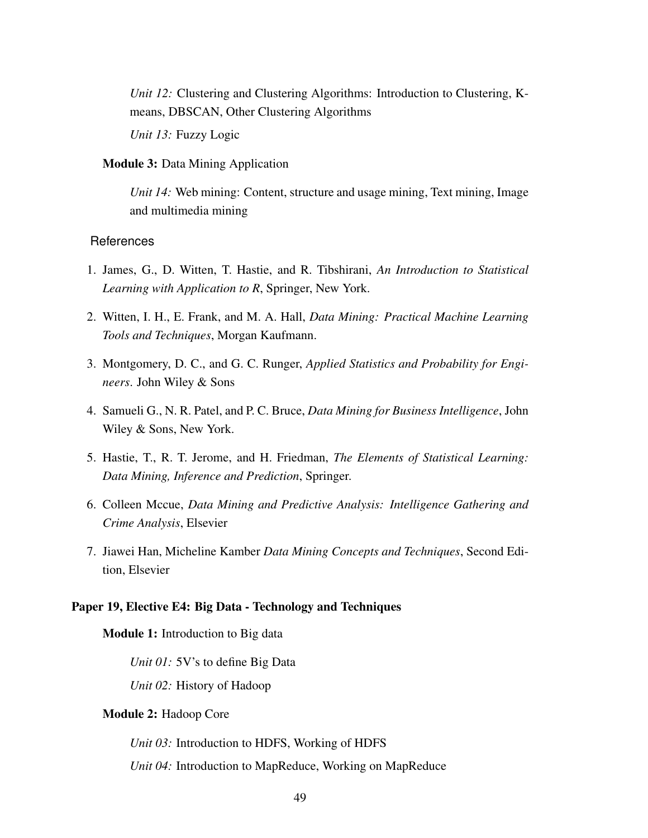*Unit 12:* Clustering and Clustering Algorithms: Introduction to Clustering, Kmeans, DBSCAN, Other Clustering Algorithms

*Unit 13:* Fuzzy Logic

## Module 3: Data Mining Application

*Unit 14:* Web mining: Content, structure and usage mining, Text mining, Image and multimedia mining

#### References

- 1. James, G., D. Witten, T. Hastie, and R. Tibshirani, *An Introduction to Statistical Learning with Application to R*, Springer, New York.
- 2. Witten, I. H., E. Frank, and M. A. Hall, *Data Mining: Practical Machine Learning Tools and Techniques*, Morgan Kaufmann.
- 3. Montgomery, D. C., and G. C. Runger, *Applied Statistics and Probability for Engineers*. John Wiley & Sons
- 4. Samueli G., N. R. Patel, and P. C. Bruce, *Data Mining for Business Intelligence*, John Wiley & Sons, New York.
- 5. Hastie, T., R. T. Jerome, and H. Friedman, *The Elements of Statistical Learning: Data Mining, Inference and Prediction*, Springer.
- 6. Colleen Mccue, *Data Mining and Predictive Analysis: Intelligence Gathering and Crime Analysis*, Elsevier
- 7. Jiawei Han, Micheline Kamber *Data Mining Concepts and Techniques*, Second Edition, Elsevier

## <span id="page-52-0"></span>Paper 19, Elective E4: Big Data - Technology and Techniques

Module 1: Introduction to Big data

*Unit 01:* 5V's to define Big Data

*Unit 02:* History of Hadoop

# Module 2: Hadoop Core

*Unit 03:* Introduction to HDFS, Working of HDFS

*Unit 04:* Introduction to MapReduce, Working on MapReduce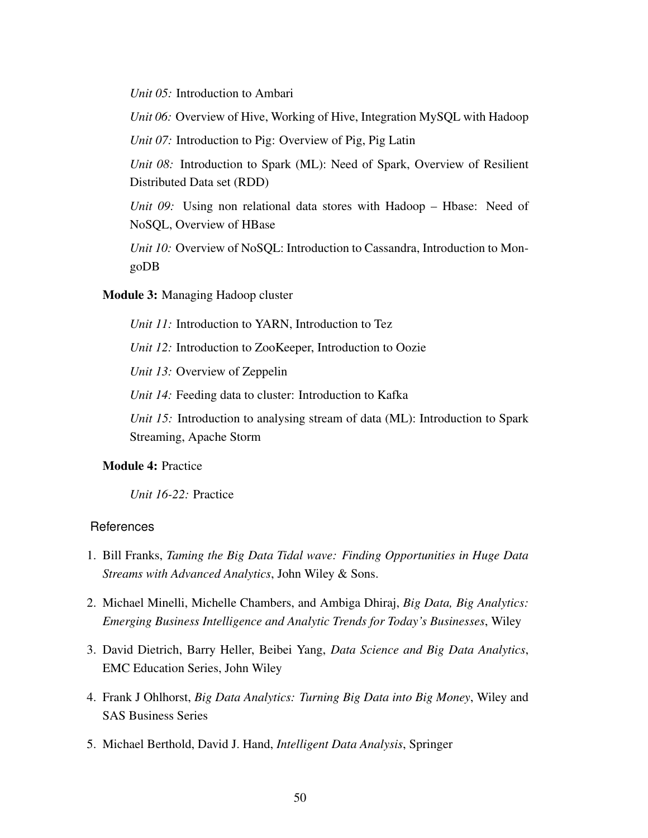*Unit 05:* Introduction to Ambari

*Unit 06:* Overview of Hive, Working of Hive, Integration MySQL with Hadoop

*Unit 07:* Introduction to Pig: Overview of Pig, Pig Latin

*Unit 08:* Introduction to Spark (ML): Need of Spark, Overview of Resilient Distributed Data set (RDD)

*Unit 09:* Using non relational data stores with Hadoop – Hbase: Need of NoSQL, Overview of HBase

*Unit 10:* Overview of NoSQL: Introduction to Cassandra, Introduction to MongoDB

Module 3: Managing Hadoop cluster

*Unit 11:* Introduction to YARN, Introduction to Tez *Unit 12:* Introduction to ZooKeeper, Introduction to Oozie

*Unit 13:* Overview of Zeppelin

*Unit 14:* Feeding data to cluster: Introduction to Kafka

*Unit 15:* Introduction to analysing stream of data (ML): Introduction to Spark Streaming, Apache Storm

## Module 4: Practice

*Unit 16-22:* Practice

- 1. Bill Franks, *Taming the Big Data Tidal wave: Finding Opportunities in Huge Data Streams with Advanced Analytics*, John Wiley & Sons.
- 2. Michael Minelli, Michelle Chambers, and Ambiga Dhiraj, *Big Data, Big Analytics: Emerging Business Intelligence and Analytic Trends for Today's Businesses*, Wiley
- 3. David Dietrich, Barry Heller, Beibei Yang, *Data Science and Big Data Analytics*, EMC Education Series, John Wiley
- 4. Frank J Ohlhorst, *Big Data Analytics: Turning Big Data into Big Money*, Wiley and SAS Business Series
- 5. Michael Berthold, David J. Hand, *Intelligent Data Analysis*, Springer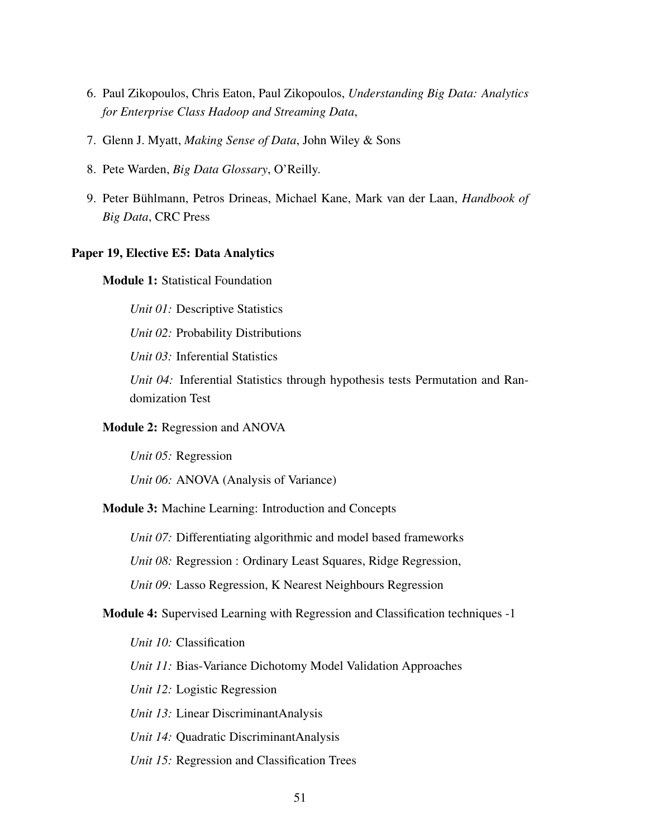- 6. Paul Zikopoulos, Chris Eaton, Paul Zikopoulos, *Understanding Big Data: Analytics for Enterprise Class Hadoop and Streaming Data*,
- 7. Glenn J. Myatt, *Making Sense of Data*, John Wiley & Sons
- 8. Pete Warden, *Big Data Glossary*, O'Reilly.
- 9. Peter Bühlmann, Petros Drineas, Michael Kane, Mark van der Laan, *Handbook of Big Data*, CRC Press

#### <span id="page-54-0"></span>Paper 19, Elective E5: Data Analytics

Module 1: Statistical Foundation

*Unit 01:* Descriptive Statistics

*Unit 02:* Probability Distributions

*Unit 03:* Inferential Statistics

*Unit 04:* Inferential Statistics through hypothesis tests Permutation and Randomization Test

#### Module 2: Regression and ANOVA

*Unit 05:* Regression

*Unit 06:* ANOVA (Analysis of Variance)

#### Module 3: Machine Learning: Introduction and Concepts

*Unit 07:* Differentiating algorithmic and model based frameworks

*Unit 08:* Regression : Ordinary Least Squares, Ridge Regression,

*Unit 09:* Lasso Regression, K Nearest Neighbours Regression

# Module 4: Supervised Learning with Regression and Classification techniques -1

*Unit 10:* Classification

*Unit 11:* Bias-Variance Dichotomy Model Validation Approaches

*Unit 12:* Logistic Regression

*Unit 13:* Linear DiscriminantAnalysis

*Unit 14:* Quadratic DiscriminantAnalysis

*Unit 15:* Regression and Classification Trees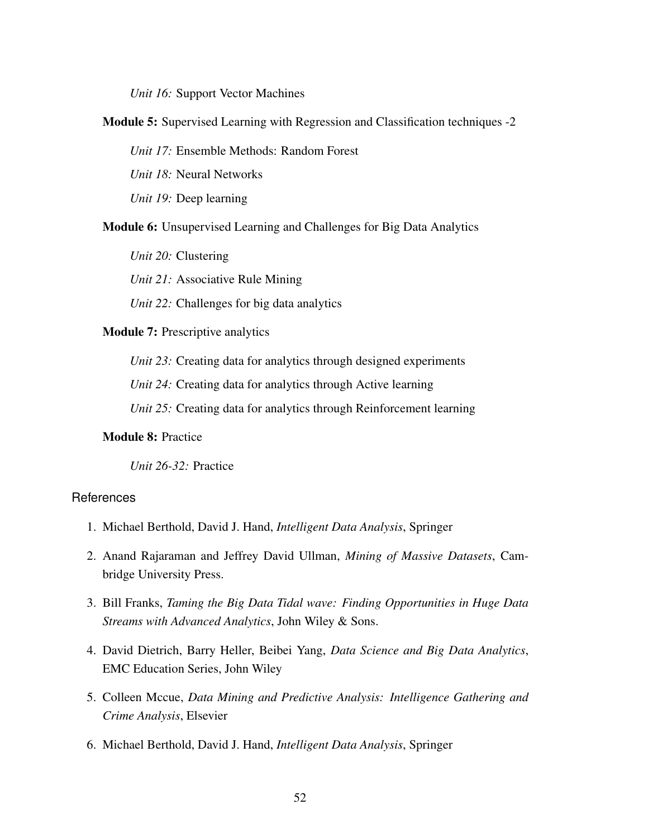*Unit 16:* Support Vector Machines

Module 5: Supervised Learning with Regression and Classification techniques -2

*Unit 17:* Ensemble Methods: Random Forest

*Unit 18:* Neural Networks

*Unit 19:* Deep learning

Module 6: Unsupervised Learning and Challenges for Big Data Analytics

*Unit 20:* Clustering

*Unit 21:* Associative Rule Mining

*Unit 22:* Challenges for big data analytics

Module 7: Prescriptive analytics

*Unit 23:* Creating data for analytics through designed experiments

*Unit 24:* Creating data for analytics through Active learning

*Unit 25:* Creating data for analytics through Reinforcement learning

## Module 8: Practice

*Unit 26-32:* Practice

- 1. Michael Berthold, David J. Hand, *Intelligent Data Analysis*, Springer
- 2. Anand Rajaraman and Jeffrey David Ullman, *Mining of Massive Datasets*, Cambridge University Press.
- 3. Bill Franks, *Taming the Big Data Tidal wave: Finding Opportunities in Huge Data Streams with Advanced Analytics*, John Wiley & Sons.
- 4. David Dietrich, Barry Heller, Beibei Yang, *Data Science and Big Data Analytics*, EMC Education Series, John Wiley
- 5. Colleen Mccue, *Data Mining and Predictive Analysis: Intelligence Gathering and Crime Analysis*, Elsevier
- 6. Michael Berthold, David J. Hand, *Intelligent Data Analysis*, Springer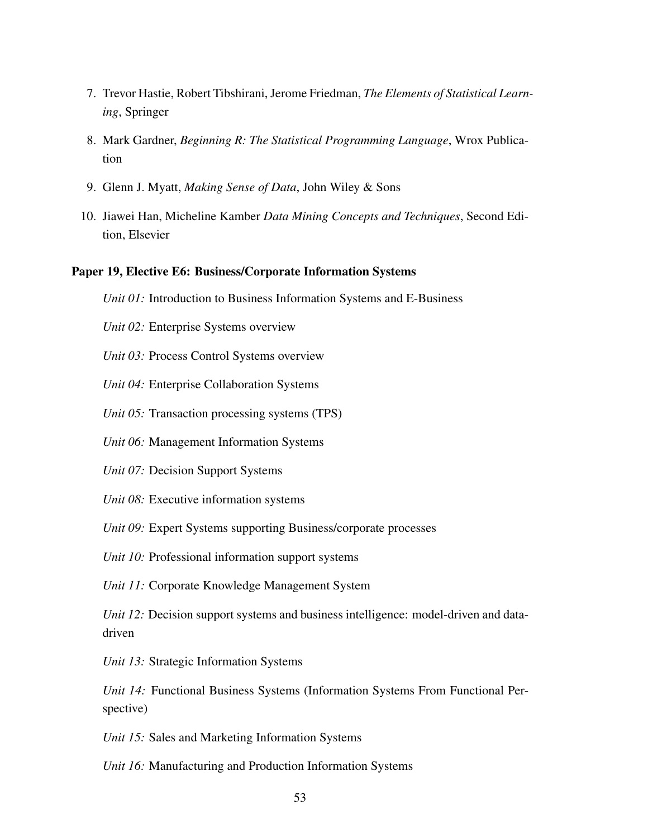- 7. Trevor Hastie, Robert Tibshirani, Jerome Friedman, *The Elements of Statistical Learning*, Springer
- 8. Mark Gardner, *Beginning R: The Statistical Programming Language*, Wrox Publication
- 9. Glenn J. Myatt, *Making Sense of Data*, John Wiley & Sons
- 10. Jiawei Han, Micheline Kamber *Data Mining Concepts and Techniques*, Second Edition, Elsevier

#### <span id="page-56-0"></span>Paper 19, Elective E6: Business/Corporate Information Systems

- *Unit 01:* Introduction to Business Information Systems and E-Business
- *Unit 02:* Enterprise Systems overview
- *Unit 03:* Process Control Systems overview
- *Unit 04:* Enterprise Collaboration Systems
- *Unit 05:* Transaction processing systems (TPS)
- *Unit 06:* Management Information Systems
- *Unit 07:* Decision Support Systems
- *Unit 08:* Executive information systems
- *Unit 09:* Expert Systems supporting Business/corporate processes
- *Unit 10:* Professional information support systems
- *Unit 11:* Corporate Knowledge Management System

*Unit 12:* Decision support systems and business intelligence: model-driven and datadriven

- *Unit 13:* Strategic Information Systems
- *Unit 14:* Functional Business Systems (Information Systems From Functional Perspective)
- *Unit 15:* Sales and Marketing Information Systems
- *Unit 16:* Manufacturing and Production Information Systems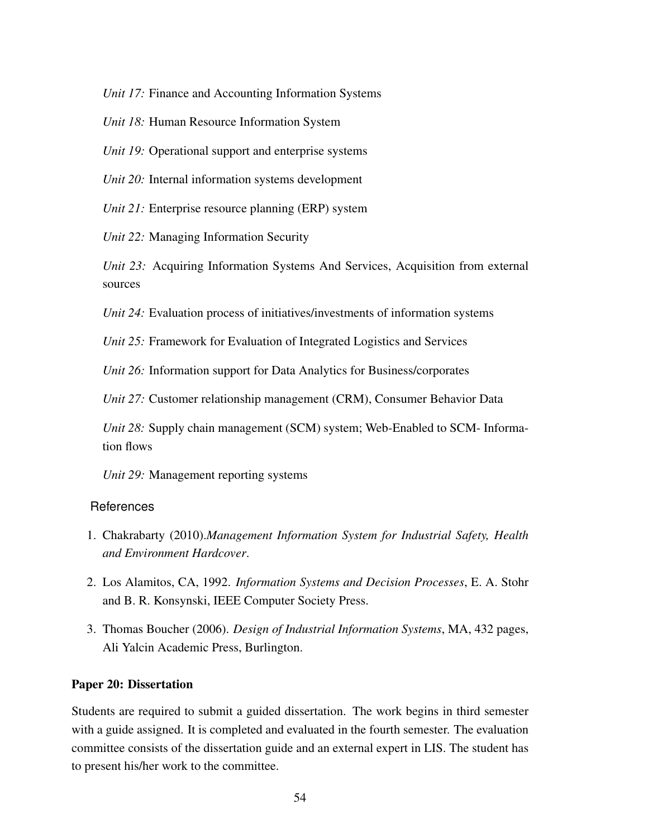*Unit 17:* Finance and Accounting Information Systems

*Unit 18:* Human Resource Information System

*Unit 19:* Operational support and enterprise systems

*Unit 20:* Internal information systems development

*Unit 21:* Enterprise resource planning (ERP) system

*Unit 22:* Managing Information Security

*Unit 23:* Acquiring Information Systems And Services, Acquisition from external sources

*Unit 24:* Evaluation process of initiatives/investments of information systems

*Unit 25:* Framework for Evaluation of Integrated Logistics and Services

*Unit 26:* Information support for Data Analytics for Business/corporates

*Unit 27:* Customer relationship management (CRM), Consumer Behavior Data

*Unit 28:* Supply chain management (SCM) system; Web-Enabled to SCM- Information flows

*Unit 29:* Management reporting systems

## References

- 1. Chakrabarty (2010).*Management Information System for Industrial Safety, Health and Environment Hardcover*.
- 2. Los Alamitos, CA, 1992. *Information Systems and Decision Processes*, E. A. Stohr and B. R. Konsynski, IEEE Computer Society Press.
- 3. Thomas Boucher (2006). *Design of Industrial Information Systems*, MA, 432 pages, Ali Yalcin Academic Press, Burlington.

#### <span id="page-57-0"></span>Paper 20: Dissertation

Students are required to submit a guided dissertation. The work begins in third semester with a guide assigned. It is completed and evaluated in the fourth semester. The evaluation committee consists of the dissertation guide and an external expert in LIS. The student has to present his/her work to the committee.